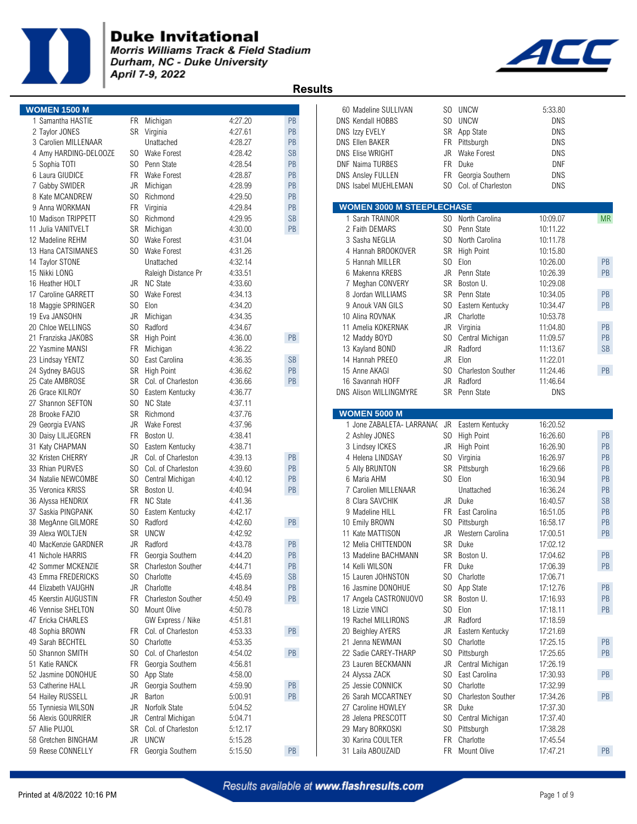

Morris Williams Track & Field Stadium Durham, NC - Duke University April 7-9, 2022



|    | <b>WOMEN 1500 M</b>                      |
|----|------------------------------------------|
|    | 1 Samantha HASTIE                        |
|    | 2 Taylor JONES                           |
|    | 3 Carolien MILLENAAR                     |
|    | 4 Amy HARDING-DELOOZE                    |
|    | 5 Sophia TOTI                            |
|    | 6 Laura GIUDICE                          |
|    | 7 Gabby SWIDER                           |
|    | 8 Kate MCANDREW                          |
|    | 9 Anna WORKMAN<br>10 Madison TRIPPETT    |
|    | 11 Julia VANITVELT                       |
|    | 12 Madeline REHM                         |
|    | 13 Hana CATSIMANES                       |
|    | 14 Taylor STONE                          |
|    | 15 Nikki LONG                            |
|    | 16 Heather HOLT                          |
|    | 17 Caroline GARRETT                      |
|    | 18 Maggie SPRINGER                       |
|    | 19 Eva JANSOHN                           |
|    | 20 Chloe WELLINGS                        |
|    | 21 Franziska JAKOBS                      |
|    | 22 Yasmine MANSI                         |
|    | 23 Lindsay YENTZ                         |
|    | 24 Sydney BAGUS                          |
|    | 25 Cate AMBROSE                          |
|    | 26 Grace KILROY                          |
|    | 27 Shannon SEFTON                        |
|    | 28 Brooke FAZIO                          |
|    | 29 Georgia EVANS                         |
|    | 30 Daisy LILJEGREN                       |
|    | 31 Katy CHAPMAN                          |
|    | 32 Kristen CHERRY                        |
|    | 33 Rhian PURVES                          |
|    | 34 Natalie NEWCOMBE<br>35 Veronica KRISS |
|    | 36 Alyssa HENDRIX                        |
|    | 37 Saskia PINGPANK                       |
|    | 38 MegAnne GILMORE                       |
|    | 39 Alexa WOLTJEN                         |
|    | 40 MacKenzie GARDNER                     |
| 41 | Nichole HARRIS                           |
|    | 42 Sommer MCKENZIE                       |
|    | 43 Emma FREDERICKS                       |
|    | 44 Elizabeth VAUGHN                      |
|    | 45 Keerstin AUGUSTIN                     |
|    | 46 Vennise SHELTON                       |
|    | 47 Ericka CHARLES                        |
|    | 48 Sophia BROWN                          |
|    | 49 Sarah BECHTEL                         |
|    | 50 Shannon SMITH                         |
|    | 51 Katie RANCK<br>52 Jasmine DONOHUE     |
|    | 53 Catherine HALL                        |
|    | 54 Hailey RUSSELL                        |
|    | 55 Tynniesia WILSON                      |
|    | 56 Alexis GOURRIER                       |
|    | 57 Allie PUJOL                           |
|    | 58 Gretchen BINGHAM                      |
|    | 59 Reese CONNELLY                        |
|    |                                          |

| 3 Carolien MILLENAAR<br>4 Amy HARDING-DELOOZE | SO.       | Unattached<br><b>Wake Forest</b> | 4:28.27<br>4:28.42 | PB<br><b>SB</b> | <b>DNS Ellen BAKER</b><br><b>DNS Elise WRIGHT</b> | JR.            | FR Pittsburgh<br><b>Wake Forest</b> | DNS<br>DNS |           |
|-----------------------------------------------|-----------|----------------------------------|--------------------|-----------------|---------------------------------------------------|----------------|-------------------------------------|------------|-----------|
| 5 Sophia TOTI                                 | SO.       | Penn State                       | 4:28.54            | PB              | <b>DNF Naima TURBES</b>                           | <b>FR</b>      | Duke                                | DNF        |           |
| 6 Laura GIUDICE                               |           | FR Wake Forest                   | 4:28.87            | PB              | <b>DNS Ansley FULLEN</b>                          | FR             | Georgia Southern                    | <b>DNS</b> |           |
| 7 Gabby SWIDER                                | JR        | Michigan                         | 4:28.99            | PB              | DNS Isabel MUEHLEMAN                              | SO.            | Col. of Charleston                  | <b>DNS</b> |           |
| 8 Kate MCANDREW                               | SO.       | Richmond                         | 4:29.50            | PB              |                                                   |                |                                     |            |           |
| 9 Anna WORKMAN                                | FR        | Virginia                         | 4:29.84            | PB              | <b>WOMEN 3000 M STEEPLECHASE</b>                  |                |                                     |            |           |
| 10 Madison TRIPPETT                           | SO.       | Richmond                         | 4:29.95            | <b>SB</b>       | 1 Sarah TRAINOR                                   |                | SO North Carolina                   | 10:09.07   | <b>MF</b> |
| 11 Julia VANITVELT                            | SR        | Michigan                         | 4:30.00            | PB              | 2 Faith DEMARS                                    | SO.            | Penn State                          | 10:11.22   |           |
| 12 Madeline REHM                              | SO.       | <b>Wake Forest</b>               | 4:31.04            |                 | 3 Sasha NEGLIA                                    | SO.            | North Carolina                      | 10:11.78   |           |
| 13 Hana CATSIMANES                            |           | SO Wake Forest                   | 4:31.26            |                 | 4 Hannah BROOKOVER                                | <b>SR</b>      | High Point                          | 10:15.80   |           |
| 14 Taylor STONE                               |           | Unattached                       | 4:32.14            |                 | 5 Hannah MILLER                                   | S <sub>0</sub> | Elon                                | 10:26.00   | PB        |
| 15 Nikki LONG                                 |           | Raleigh Distance Pr              | 4:33.51            |                 | 6 Makenna KREBS                                   | <b>JR</b>      | Penn State                          | 10:26.39   | PB        |
| 16 Heather HOLT                               | JR        | NC State                         | 4:33.60            |                 | 7 Meghan CONVERY                                  | <b>SR</b>      | Boston U.                           | 10:29.08   |           |
| 17 Caroline GARRETT                           | SO.       | Wake Forest                      | 4:34.13            |                 | 8 Jordan WILLIAMS                                 | <b>SR</b>      | Penn State                          | 10:34.05   | PB        |
| 18 Maggie SPRINGER                            | SO.       | Elon                             | 4:34.20            |                 | 9 Anouk VAN GILS                                  | SO.            | Eastern Kentucky                    | 10:34.47   | PB        |
| 19 Eva JANSOHN                                | JR        | Michigan                         | 4:34.35            |                 | 10 Alina ROVNAK                                   | JR             | Charlotte                           | 10:53.78   |           |
| 20 Chloe WELLINGS                             | SO.       | Radford                          | 4:34.67            |                 | 11 Amelia KOKERNAK                                | JR             | Virginia                            | 11:04.80   | PB        |
| 21 Franziska JAKOBS                           | <b>SR</b> | <b>High Point</b>                | 4:36.00            | PB              | 12 Maddy BOYD                                     | SO.            | Central Michigan                    | 11:09.57   | PB        |
| 22 Yasmine MANSI                              | FR        | Michigan                         | 4:36.22            |                 | 13 Kayland BOND                                   | <b>JR</b>      | Radford                             | 11:13.67   | <b>SB</b> |
| 23 Lindsay YENTZ                              | SO.       | East Carolina                    | 4:36.35            | <b>SB</b>       | 14 Hannah PREEO                                   | <b>JR</b>      | Elon                                | 11:22.01   |           |
| 24 Sydney BAGUS                               | <b>SR</b> | <b>High Point</b>                | 4:36.62            | PB              | 15 Anne AKAGI                                     | SO.            | <b>Charleston Souther</b>           | 11:24.46   | PB        |
| 25 Cate AMBROSE                               |           | SR Col. of Charleston            | 4:36.66            | <b>PB</b>       | 16 Savannah HOFF                                  | JR             | Radford                             | 11:46.64   |           |
| 26 Grace KILROY                               | SO.       | Eastern Kentucky                 | 4:36.77            |                 | DNS Alison WILLINGMYRE                            |                | SR Penn State                       | DNS        |           |
| 27 Shannon SEFTON                             | SO.       | <b>NC State</b>                  | 4:37.11            |                 |                                                   |                |                                     |            |           |
| 28 Brooke FAZIO                               |           | SR Richmond                      | 4:37.76            |                 | <b>WOMEN 5000 M</b>                               |                |                                     |            |           |
|                                               |           |                                  |                    |                 |                                                   |                |                                     |            |           |
| 29 Georgia EVANS                              | JR        | Wake Forest                      | 4:37.96            |                 | 1 Jone ZABALETA- LARRANA( JR Eastern Kentucky     |                |                                     | 16:20.52   |           |
| 30 Daisy LILJEGREN                            | FR        | Boston U.                        | 4:38.41            |                 | 2 Ashley JONES                                    |                | SO High Point                       | 16:26.60   | PB        |
| 31 Katy CHAPMAN                               | SO.       | Eastern Kentucky                 | 4:38.71            |                 | 3 Lindsey ICKES                                   | JR             | High Point                          | 16:26.90   | PB        |
| 32 Kristen CHERRY                             | JR        | Col. of Charleston               | 4:39.13            | PB              | 4 Helena LINDSAY                                  |                | SO Virginia                         | 16:26.97   | PB        |
| 33 Rhian PURVES                               | SO.       | Col. of Charleston               | 4:39.60            | PB              | 5 Ally BRUNTON                                    |                | SR Pittsburgh                       | 16:29.66   | PB        |
| 34 Natalie NEWCOMBE                           | SO.       | Central Michigan                 | 4:40.12            | PB              | 6 Maria AHM                                       |                | SO Elon                             | 16:30.94   | PB        |
| 35 Veronica KRISS                             | <b>SR</b> | Boston U.                        | 4:40.94            | PB              | 7 Carolien MILLENAAR                              |                | Unattached                          | 16:36.24   | PB        |
| 36 Alyssa HENDRIX                             | FR        | <b>NC State</b>                  | 4:41.36            |                 | 8 Clara SAVCHIK                                   |                | JR Duke                             | 16:40.57   | <b>SB</b> |
| 37 Saskia PINGPANK                            | SO.       | Eastern Kentucky                 | 4:42.17            |                 | 9 Madeline HILL                                   | <b>FR</b>      | East Carolina                       | 16:51.05   | PB        |
| 38 MegAnne GILMORE                            | SO.       | Radford                          | 4:42.60            | PB              | 10 Emily BROWN                                    | SO.            | Pittsburgh                          | 16:58.17   | PB        |
| 39 Alexa WOLTJEN                              | <b>SR</b> | <b>UNCW</b>                      | 4:42.92            |                 | 11 Kate MATTISON                                  | JR             | Western Carolina                    | 17:00.51   | PB        |
| 40 MacKenzie GARDNER                          | JR        | Radford                          | 4:43.78            | PB              | 12 Melia CHITTENDON                               |                | SR Duke                             | 17:02.12   |           |
| 41 Nichole HARRIS                             | FR        | Georgia Southern                 | 4:44.20            | PB              | 13 Madeline BACHMANN                              |                | SR Boston U.                        | 17:04.62   | PB        |
| 42 Sommer MCKENZIE                            | SR        | <b>Charleston Souther</b>        | 4:44.71            | PB              | 14 Kelli WILSON                                   | <b>FR</b>      | Duke                                | 17:06.39   | PB        |
| 43 Emma FREDERICKS                            | SO.       | Charlotte                        | 4:45.69            | <b>SB</b>       | 15 Lauren JOHNSTON                                | SO.            | Charlotte                           | 17:06.71   |           |
| 44 Elizabeth VAUGHN                           | JR        | Charlotte                        | 4:48.84            | PB              | 16 Jasmine DONOHUE                                | SO.            | App State                           | 17:12.76   | PB        |
| 45 Keerstin AUGUSTIN                          |           | FR Charleston Souther            | 4:50.49            | PB              | 17 Angela CASTRONUOVO                             |                | SR Boston U.                        | 17:16.93   | PB        |
| 46 Vennise SHELTON                            |           | SO Mount Olive                   | 4:50.78            |                 | 18 Lizzie VINCI                                   | SO             | Elon                                | 17:18.11   | PB        |
| 47 Ericka CHARLES                             |           | GW Express / Nike                | 4:51.81            |                 | 19 Rachel MILLIRONS                               | JR             | Radford                             | 17:18.59   |           |
| 48 Sophia BROWN                               | FR.       | Col. of Charleston               | 4:53.33            | PB              | 20 Beighley AYERS                                 | JR             | Eastern Kentucky                    | 17:21.69   |           |
| 49 Sarah BECHTEL                              | SO.       | Charlotte                        | 4:53.35            |                 | 21 Jenna NEWMAN                                   | S <sub>0</sub> | Charlotte                           | 17:25.15   | PB        |
| 50 Shannon SMITH                              | SO.       | Col. of Charleston               | 4:54.02            | PB              | 22 Sadie CAREY-THARP                              | S <sub>0</sub> | Pittsburgh                          | 17:25.65   | PB        |
| 51 Katie RANCK                                | FR        | Georgia Southern                 | 4:56.81            |                 | 23 Lauren BECKMANN                                | JR             | Central Michigan                    | 17:26.19   |           |
| 52 Jasmine DONOHUE                            |           | App State                        | 4:58.00            |                 | 24 Alyssa ZACK                                    | SO.            | East Carolina                       | 17:30.93   | PB        |
|                                               | SO.       |                                  |                    |                 |                                                   |                | Charlotte                           |            |           |
| 53 Catherine HALL                             | JR        | Georgia Southern                 | 4:59.90            | PB              | 25 Jessie CONNICK                                 | SO.            |                                     | 17:32.99   |           |
| 54 Hailey RUSSELL                             | JR        | Barton                           | 5:00.91            | PB              | 26 Sarah MCCARTNEY                                | SO.            | <b>Charleston Souther</b>           | 17:34.26   | PB        |
| 55 Tynniesia WILSON                           | JR        | Norfolk State                    | 5:04.52            |                 | 27 Caroline HOWLEY                                | SR             | Duke                                | 17:37.30   |           |
| 56 Alexis GOURRIER                            | JR        | Central Michigan                 | 5:04.71            |                 | 28 Jelena PRESCOTT                                | SO.            | Central Michigan                    | 17:37.40   |           |
| 57 Allie PUJOL                                | SR        | Col. of Charleston               | 5:12.17            |                 | 29 Mary BORKOSKI                                  | S <sub>0</sub> | Pittsburgh                          | 17:38.28   |           |
| 58 Gretchen BINGHAM                           | JR        | <b>UNCW</b>                      | 5:15.28            |                 | 30 Karina COULTER                                 | FR             | Charlotte                           | 17:45.54   |           |
| 59 Reese CONNELLY                             |           | FR Georgia Southern              | 5:15.50            | PB              | 31 Laila ABOUZAID                                 |                | FR Mount Olive                      | 17:47.21   | PB        |
|                                               |           |                                  |                    |                 |                                                   |                |                                     |            |           |

| <b>WOMEN 1500 M</b>                      |                |                                  |                    |                      |                                                   |                |                                  | 5:33.80    |               |
|------------------------------------------|----------------|----------------------------------|--------------------|----------------------|---------------------------------------------------|----------------|----------------------------------|------------|---------------|
| 1 Samantha HASTIE                        |                |                                  | 4:27.20            | PB                   | 60 Madeline SULLIVAN                              | S <sub>0</sub> | SO UNCW<br>UNCW                  | <b>DNS</b> |               |
|                                          |                | FR Michigan                      |                    | PB                   | DNS Kendall HOBBS                                 |                | App State                        | <b>DNS</b> |               |
| 2 Taylor JONES                           |                | SR Virginia                      | 4:27.61<br>4:28.27 | PB                   | DNS Izzy EVELY                                    | SR             |                                  | <b>DNS</b> |               |
| 3 Carolien MILLENAAR                     |                | Unattached                       |                    | <b>SB</b>            | <b>DNS Ellen BAKER</b><br><b>DNS Elise WRIGHT</b> | FR             | Pittsburgh<br><b>Wake Forest</b> | <b>DNS</b> |               |
| 4 Amy HARDING-DELOOZE                    | SO.            | <b>Wake Forest</b><br>Penn State | 4:28.42            |                      |                                                   | JR             |                                  |            |               |
| 5 Sophia TOTI                            | SO.            |                                  | 4:28.54            | PB                   | <b>DNF Naima TURBES</b>                           | <b>FR</b>      | Duke                             | <b>DNF</b> |               |
| 6 Laura GIUDICE                          | FR.            | <b>Wake Forest</b>               | 4:28.87            | PB                   | <b>DNS Ansley FULLEN</b>                          | <b>FR</b>      | Georgia Southern                 | <b>DNS</b> |               |
| 7 Gabby SWIDER                           | JR             | Michigan                         | 4:28.99            | PB                   | DNS Isabel MUEHLEMAN                              | SO.            | Col. of Charleston               | <b>DNS</b> |               |
| 8 Kate MCANDREW                          | S <sub>0</sub> | Richmond                         | 4:29.50            | PB                   |                                                   |                |                                  |            |               |
| 9 Anna WORKMAN                           | <b>FR</b>      | Virginia                         | 4:29.84            | PB                   | <b>WOMEN 3000 M STEEPLECHASE</b>                  |                |                                  |            |               |
| 10 Madison TRIPPETT                      | S <sub>0</sub> | Richmond                         | 4:29.95            | <b>SB</b>            | 1 Sarah TRAINOR                                   | SO.            | North Carolina                   | 10:09.07   | <b>MR</b>     |
| 11 Julia VANITVELT                       | SR.            | Michigan                         | 4:30.00            | PB                   | 2 Faith DEMARS                                    | SO.            | Penn State                       | 10:11.22   |               |
| 12 Madeline REHM                         | SO.            | <b>Wake Forest</b>               | 4:31.04            |                      | 3 Sasha NEGLIA                                    | SO.            | North Carolina                   | 10:11.78   |               |
| 13 Hana CATSIMANES                       | SO.            | <b>Wake Forest</b>               | 4:31.26            |                      | 4 Hannah BROOKOVER                                | SR             | <b>High Point</b>                | 10:15.80   |               |
| 14 Taylor STONE                          |                | Unattached                       | 4:32.14            |                      | 5 Hannah MILLER                                   | S <sub>0</sub> | Elon                             | 10:26.00   | PB            |
| 15 Nikki LONG                            |                | Raleigh Distance Pr              | 4:33.51            |                      | 6 Makenna KREBS                                   | <b>JR</b>      | Penn State                       | 10:26.39   | PB            |
| 16 Heather HOLT                          | JR             | <b>NC State</b>                  | 4:33.60            |                      | 7 Meghan CONVERY                                  | <b>SR</b>      | Boston U.                        | 10:29.08   |               |
| 17 Caroline GARRETT                      | SO.            | <b>Wake Forest</b>               | 4:34.13            |                      | 8 Jordan WILLIAMS                                 | <b>SR</b>      | Penn State                       | 10:34.05   | PB            |
| 18 Maggie SPRINGER                       | S <sub>0</sub> | Elon                             | 4:34.20            |                      | 9 Anouk VAN GILS                                  | S <sub>0</sub> | Eastern Kentucky                 | 10:34.47   | PB            |
| 19 Eva JANSOHN                           | JR             | Michigan                         | 4:34.35            |                      | 10 Alina ROVNAK                                   | <b>JR</b>      | Charlotte                        | 10:53.78   |               |
| 20 Chloe WELLINGS                        | SO.            | Radford                          | 4:34.67            |                      | 11 Amelia KOKERNAK                                | JR             | Virginia                         | 11:04.80   | PB            |
| 21 Franziska JAKOBS                      | SR             | High Point                       | 4:36.00            | PB                   | 12 Maddy BOYD                                     | SO.            | Central Michigan                 | 11:09.57   | PB            |
| 22 Yasmine MANSI                         | FR             | Michigan                         | 4:36.22            |                      | 13 Kayland BOND                                   | <b>JR</b>      | Radford                          | 11:13.67   | <b>SB</b>     |
| 23 Lindsay YENTZ                         | SO.            | East Carolina                    | 4:36.35            | SB                   | 14 Hannah PREEO                                   | JR.            | Elon                             | 11:22.01   |               |
| 24 Sydney BAGUS                          | SR.            | <b>High Point</b>                | 4:36.62            | PB                   | 15 Anne AKAGI                                     | SO             | <b>Charleston Souther</b>        | 11:24.46   | PB            |
| 25 Cate AMBROSE                          | SR             | Col. of Charleston               | 4:36.66            | PB                   | 16 Savannah HOFF                                  | <b>JR</b>      | Radford                          | 11:46.64   |               |
| 26 Grace KILROY                          | SO.            | Eastern Kentucky                 | 4:36.77            |                      | <b>DNS Alison WILLINGMYRE</b>                     | SR             | Penn State                       | <b>DNS</b> |               |
| 27 Shannon SEFTON                        | SO.            | <b>NC State</b>                  | 4:37.11            |                      |                                                   |                |                                  |            |               |
| 28 Brooke FAZIO                          | <b>SR</b>      | Richmond                         | 4:37.76            |                      | <b>WOMEN 5000 M</b>                               |                |                                  |            |               |
| 29 Georgia EVANS                         | JR             | <b>Wake Forest</b>               | 4:37.96            |                      | 1 Jone ZABALETA- LARRANA(                         | <b>JR</b>      | Eastern Kentucky                 | 16:20.52   |               |
| 30 Daisy LILJEGREN                       | <b>FR</b>      | Boston U.                        | 4:38.41            |                      | 2 Ashley JONES                                    |                | SO High Point                    | 16:26.60   | PB            |
| 31 Katy CHAPMAN                          | SO.            | Eastern Kentucky                 | 4:38.71            |                      | 3 Lindsey ICKES                                   | <b>JR</b>      | High Point                       | 16:26.90   | PB            |
| 32 Kristen CHERRY                        | JR             | Col. of Charleston               | 4:39.13            | PB                   | 4 Helena LINDSAY                                  | SO.            | Virginia                         | 16:26.97   | PB            |
| 33 Rhian PURVES                          | S <sub>0</sub> | Col. of Charleston               | 4:39.60            | PB                   | 5 Ally BRUNTON                                    | <b>SR</b>      | Pittsburgh                       | 16:29.66   | PB            |
| 34 Natalie NEWCOMBE                      | SO.            | Central Michigan                 | 4:40.12            | PB                   | 6 Maria AHM                                       |                | SO Elon                          | 16:30.94   | PB            |
| 35 Veronica KRISS                        | <b>SR</b>      | Boston U.                        | 4:40.94            | PB                   | 7 Carolien MILLENAAR                              |                | Unattached                       | 16:36.24   | PB            |
| 36 Alyssa HENDRIX                        | <b>FR</b>      | <b>NC State</b>                  | 4:41.36            |                      | 8 Clara SAVCHIK                                   | JR.            | Duke                             | 16:40.57   | <b>SB</b>     |
|                                          | S <sub>0</sub> |                                  |                    |                      |                                                   |                | East Carolina                    | 16:51.05   | PB            |
| 37 Saskia PINGPANK<br>38 MegAnne GILMORE | SO.            | Eastern Kentucky<br>Radford      | 4:42.17<br>4:42.60 | PB                   | 9 Madeline HILL                                   | FR<br>SO.      | Pittsburgh                       | 16:58.17   | PB            |
|                                          |                |                                  |                    |                      | 10 Emily BROWN                                    |                |                                  |            |               |
| 39 Alexa WOLTJEN                         | <b>SR</b>      | <b>UNCW</b>                      | 4:42.92            |                      | 11 Kate MATTISON                                  | <b>JR</b>      | Western Carolina                 | 17:00.51   | PB            |
| 40 MacKenzie GARDNER                     | JR             | Radford                          | 4:43.78            | <b>PB</b>            | 12 Melia CHITTENDON                               | <b>SR</b>      | Duke                             | 17:02.12   |               |
| 41 Nichole HARRIS                        | FR             | Georgia Southern                 | 4:44.20            | PB                   | 13 Madeline BACHMANN                              | SR             | Boston U.                        | 17:04.62   | PB            |
| 42 Sommer MCKENZIE                       | SR             | <b>Charleston Souther</b>        | 4:44.71            | PB                   | 14 Kelli WILSON                                   |                | FR Duke                          | 17:06.39   | PB            |
| 43 Emma FREDERICKS                       | SO.            | Charlotte                        | 4:45.69            | $\mathsf{SB}\xspace$ | 15 Lauren JOHNSTON                                |                | SO Charlotte                     | 17:06.71   |               |
| 44 Elizabeth VAUGHN                      | JR             | Charlotte                        | 4:48.84            | PB                   | 16 Jasmine DONOHUE                                |                | SO App State                     | 17:12.76   | PB            |
| 45 Keerstin AUGUSTIN                     | FR             | <b>Charleston Souther</b>        | 4:50.49            | PB                   | 17 Angela CASTRONUOVO                             |                | SR Boston U.                     | 17:16.93   | $\mathsf{PB}$ |
| 46 Vennise SHELTON                       |                | SO Mount Olive                   | 4:50.78            |                      | 18 Lizzie VINCI                                   |                | SO Elon                          | 17:18.11   | PB            |
| 47 Ericka CHARLES                        |                | GW Express / Nike                | 4:51.81            |                      | 19 Rachel MILLIRONS                               | JR             | Radford                          | 17:18.59   |               |
| 48 Sophia BROWN                          |                | FR Col. of Charleston            | 4:53.33            | PB                   | 20 Beighley AYERS                                 | JR             | Eastern Kentucky                 | 17:21.69   |               |
| 49 Sarah BECHTEL                         | SO.            | Charlotte                        | 4:53.35            |                      | 21 Jenna NEWMAN                                   |                | SO Charlotte                     | 17:25.15   | PB            |
| 50 Shannon SMITH                         | SO.            | Col. of Charleston               | 4:54.02            | PB                   | 22 Sadie CAREY-THARP                              |                | SO Pittsburgh                    | 17:25.65   | PB            |
| 51 Katie RANCK                           | FR             | Georgia Southern                 | 4:56.81            |                      | 23 Lauren BECKMANN                                | JR             | Central Michigan                 | 17:26.19   |               |
| 52 Jasmine DONOHUE                       | SO.            | App State                        | 4:58.00            |                      | 24 Alyssa ZACK                                    | SO.            | East Carolina                    | 17:30.93   | PB            |
| 53 Catherine HALL                        | JR             | Georgia Southern                 | 4:59.90            | PB                   | 25 Jessie CONNICK                                 |                | SO Charlotte                     | 17:32.99   |               |
| 54 Hailey RUSSELL                        | JR             | <b>Barton</b>                    | 5:00.91            | PB                   | 26 Sarah MCCARTNEY                                | SO.            | <b>Charleston Souther</b>        | 17:34.26   | PB            |
| 55 Tynniesia WILSON                      | JR             | Norfolk State                    | 5:04.52            |                      | 27 Caroline HOWLEY                                | <b>SR</b>      | Duke                             | 17:37.30   |               |
| 56 Alexis GOURRIER                       | JR             | Central Michigan                 | 5:04.71            |                      | 28 Jelena PRESCOTT                                | S <sub>0</sub> | Central Michigan                 | 17:37.40   |               |
| 57 Allie PUJOL                           | SR             | Col. of Charleston               | 5:12.17            |                      | 29 Mary BORKOSKI                                  |                | SO Pittsburgh                    | 17:38.28   |               |
| 58 Gretchen BINGHAM                      |                | JR UNCW                          | 5:15.28            |                      | 30 Karina COULTER                                 |                | FR Charlotte                     | 17:45.54   |               |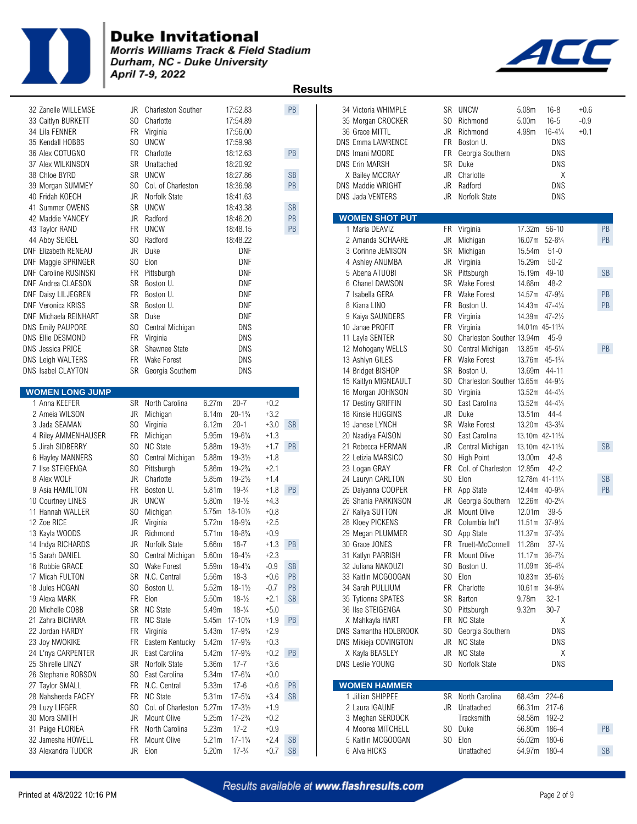

Morris Williams Track & Field Stadium Durham, NC - Duke University April 7-9, 2022



| 32 Zanelle WILLEMSE          | JR             | <b>Charleston Souther</b> |                   | 17:52.83             |           | PB                   | 34 Victoria WHIMPLE      |     | SR UNCW                           | 5.08 <sub>m</sub>                        | 16-8                | $+0.6$    |
|------------------------------|----------------|---------------------------|-------------------|----------------------|-----------|----------------------|--------------------------|-----|-----------------------------------|------------------------------------------|---------------------|-----------|
| 33 Caitlyn BURKETT           | SO.            | Charlotte                 |                   | 17:54.89             |           |                      | 35 Morgan CROCKER        |     | SO Richmond                       | 5.00 <sub>m</sub>                        | $16 - 5$            | $-0.9$    |
| 34 Lila FENNER               |                | FR Virginia               |                   | 17:56.00             |           |                      | 36 Grace MITTL           | JR  | Richmond                          | 4.98m                                    | $16 - 4\frac{1}{4}$ | $+0.1$    |
| 35 Kendall HOBBS             | SO.            | <b>UNCW</b>               |                   | 17:59.98             |           |                      | <b>DNS Emma LAWRENCE</b> | FR  | Boston U.                         |                                          | DNS                 |           |
| 36 Alex COTUGNO              | FR             | Charlotte                 |                   | 18:12.63             |           | PB                   | DNS Imani MOORE          | FR  | Georgia Southern                  |                                          | <b>DNS</b>          |           |
| 37 Alex WILKINSON            |                | SR Unattached             |                   | 18:20.92             |           |                      | <b>DNS Erin MARSH</b>    | SR  | Duke                              |                                          | DNS                 |           |
| 38 Chloe BYRD                |                | SR UNCW                   |                   | 18:27.86             |           | $\mathsf{SB}\xspace$ | X Bailey MCCRAY          | JR  | Charlotte                         |                                          | X                   |           |
| 39 Morgan SUMMEY             | SO.            | Col. of Charleston        |                   | 18:36.98             |           | PB                   | DNS Maddie WRIGHT        | JR  | Radford                           |                                          | <b>DNS</b>          |           |
| 40 Fridah KOECH              | JR             | Norfolk State             |                   | 18:41.63             |           |                      | DNS Jada VENTERS         | JR  | Norfolk State                     |                                          | <b>DNS</b>          |           |
| 41 Summer OWENS              |                | SR UNCW                   |                   | 18:43.38             |           | <b>SB</b>            |                          |     |                                   |                                          |                     |           |
| 42 Maddie YANCEY             |                | JR Radford                |                   | 18:46.20             |           | PB                   | <b>WOMEN SHOT PUT</b>    |     |                                   |                                          |                     |           |
| 43 Taylor RAND               | FR             | <b>UNCW</b>               |                   | 18:48.15             |           | PB                   | 1 Maria DEAVIZ           |     | FR Virginia                       | 17.32m                                   | $56 - 10$           | PB        |
| 44 Abby SEIGEL               | S <sub>0</sub> | Radford                   |                   | 18:48.22             |           |                      | 2 Amanda SCHAARE         | JR  | Michigan                          | 16.07m                                   | $52 - 8\frac{3}{4}$ | PB        |
| <b>DNF Elizabeth RENEAU</b>  | JR             | Duke                      |                   | DNF                  |           |                      | 3 Corinne JEMISON        |     | SR Michigan                       | 15.54m                                   | $51-0$              |           |
| DNF Maggie SPRINGER          | S <sub>0</sub> | Elon                      |                   | <b>DNF</b>           |           |                      | 4 Ashley ANUMBA          | JR  | Virginia                          | 15.29m                                   | $50 - 2$            |           |
| <b>DNF Caroline RUSINSKI</b> | <b>FR</b>      | Pittsburgh                |                   | DNF                  |           |                      | 5 Abena ATUOBI           | SR  | Pittsburgh                        | 15.19m                                   | 49-10               | <b>SB</b> |
| DNF Andrea CLAESON           | SR             | Boston U.                 |                   | DNF                  |           |                      | 6 Chanel DAWSON          |     | SR Wake Forest                    | 14.68m                                   | $48 - 2$            |           |
| DNF Daisy LILJEGREN          | FR             | Boston U.                 |                   | <b>DNF</b>           |           |                      | 7 Isabella GERA          |     | FR Wake Forest                    | 14.57m 47-93/4                           |                     | PB        |
| <b>DNF Veronica KRISS</b>    | SR             | Boston U.                 |                   | DNF                  |           |                      | 8 Kiana LINO             | FR  | Boston U.                         | 14.43m 47-41/4                           |                     | PB        |
| DNF Michaela REINHART        | SR             | Duke                      |                   | DNF                  |           |                      | 9 Kaiya SAUNDERS         | FR  | Virginia                          | 14.39m 47-21/2                           |                     |           |
| <b>DNS Emily PAUPORE</b>     | S <sub>0</sub> | Central Michigan          |                   | DNS                  |           |                      | 10 Janae PROFIT          | FR  | Virginia                          | 14.01m 45-11%                            |                     |           |
| DNS Ellie DESMOND            |                | FR Virginia               |                   | DNS                  |           |                      | 11 Layla SENTER          |     | SO Charleston Souther 13.94m      |                                          | $45-9$              |           |
| <b>DNS</b> Jessica PRICE     | SR             | Shawnee State             |                   | DNS                  |           |                      | 12 Mohogany WELLS        | SO. | Central Michigan                  | 13.85m 45-51/4                           |                     | PB        |
| <b>DNS Leigh WALTERS</b>     | FR.            | <b>Wake Forest</b>        |                   | DNS                  |           |                      | 13 Ashlyn GILES          | FR  | Wake Forest                       | 13.76m 45-1 <sup>3</sup> / <sub>4</sub>  |                     |           |
| DNS Isabel CLAYTON           |                | SR Georgia Southern       |                   | DNS                  |           |                      | 14 Bridget BISHOP        | SR  | Boston U.                         | 13.69m 44-11                             |                     |           |
|                              |                |                           |                   |                      |           |                      | 15 Kaitlyn MIGNEAULT     | SO. | Charleston Souther 13.65m 44-91/2 |                                          |                     |           |
| <b>WOMEN LONG JUMP</b>       |                |                           |                   |                      |           |                      | 16 Morgan JOHNSON        | SO  | Virginia                          | 13.52m 44-41/4                           |                     |           |
| 1 Anna KEEFER                |                | SR North Carolina         | 6.27m             | $20 - 7$             | $+0.2$    |                      | 17 Destiny GRIFFIN       | SO. | East Carolina                     | 13.52m 44-41/4                           |                     |           |
| 2 Ameia WILSON               |                | JR Michigan               | 6.14m             | $20 - 1\frac{3}{4}$  | $+3.2$    |                      | 18 Kinsie HUGGINS        | JR  | Duke                              | 13.51m                                   | $44 - 4$            |           |
| 3 Jada SEAMAN                |                | SO Virginia               | 6.12m             | $20 - 1$             | $+3.0$    | <b>SB</b>            | 19 Janese LYNCH          |     | SR Wake Forest                    | 13.20m 43-3 <sup>3</sup> / <sub>4</sub>  |                     |           |
| 4 Riley AMMENHAUSER          | FR             | Michigan                  | 5.95m             | $19 - 6\frac{1}{4}$  | $+1.3$    |                      | 20 Naadiya FAISON        | SO. | East Carolina                     | 13.10m 42-11 <sup>3</sup> / <sub>4</sub> |                     |           |
| 5 Jirah SIDBERRY             | SO.            | <b>NC State</b>           | 5.88m             | $19 - 3\frac{1}{2}$  | $+1.7$    | <b>PB</b>            | 21 Rebecca HERMAN        | JR  | Central Michigan                  | 13.10m 42-11 <sup>3</sup> / <sub>4</sub> |                     | <b>SB</b> |
| 6 Hayley MANNERS             | S <sub>0</sub> | Central Michigan          | 5.88m             | $19 - 3\frac{1}{2}$  | $+1.8$    |                      | 22 Letizia MARSICO       |     | SO High Point                     | 13.00m                                   | $42 - 8$            |           |
| 7 Ilse STEIGENGA             | S <sub>0</sub> | Pittsburgh                | 5.86m             | $19 - 2\frac{3}{4}$  | $+2.1$    |                      | 23 Logan GRAY            |     | FR Col. of Charleston 12.85m      |                                          | $42 - 2$            |           |
| 8 Alex WOLF                  | JR             | Charlotte                 | 5.85m             | $19 - 2\frac{1}{2}$  | $+1.4$    |                      | 24 Lauryn CARLTON        |     | SO Elon                           | 12.78m 41-111/4                          |                     | <b>SB</b> |
| 9 Asia HAMILTON              | FR             | Boston U.                 | 5.81m             | $19-3/4$             | $+1.8$    | <b>PB</b>            | 25 Daiyanna COOPER       | FR  | App State                         | 12.44m 40-9 <sup>3</sup> / <sub>4</sub>  |                     | PB        |
| 10 Courtney LINES            | JR             | UNCW                      | 5.80m             | $19 - \frac{1}{2}$   | $+4.3$    |                      | 26 Shania PARKINSON      | JR  | Georgia Southern                  | 12.26m 40-23/4                           |                     |           |
| 11 Hannah WALLER             | S <sub>0</sub> | Michigan                  | 5.75m             | $18 - 10\frac{1}{2}$ | $+0.8$    |                      | 27 Kaliya SUTTON         | JR  | Mount Olive                       | 12.01m                                   | $39 - 5$            |           |
| 12 Zoe RICE                  | JR             | Virginia                  | 5.72m             | $18 - 9\frac{1}{4}$  | $+2.5$    |                      | 28 Kloey PICKENS         | FR  | Columbia Int'l                    | 11.51m 37-91/4                           |                     |           |
| 13 Kayla WOODS               | JR             | Richmond                  | 5.71m             | $18 - 8\frac{3}{4}$  | $+0.9$    |                      | 29 Megan PLUMMER         | SO. | App State                         | 11.37m 37-3 <sup>3</sup> / <sub>4</sub>  |                     |           |
| 14 Indya RICHARDS            | JR             | Norfolk State             | 5.66m             | $18 - 7$             | $+1.3$    | PB                   | 30 Grace JONES           |     | FR Truett-McConnell               | 11.28m                                   | $37 - \frac{1}{4}$  |           |
| 15 Sarah DANIEL              | SO.            | Central Michigan          | 5.60m             | $18 - 4\frac{1}{2}$  | $+2.3$    |                      | 31 Katlyn PARRISH        |     | FR Mount Olive                    | 11.17m 36-7 <sup>3</sup> / <sub>4</sub>  |                     |           |
| 16 Robbie GRACE              |                | SO Wake Forest            | 5.59m             | $18 - 4\frac{1}{4}$  | $-0.9$ SB |                      | 32 Juliana NAKOUZI       |     | SO Boston U.                      | 11.09m 36-43/4                           |                     |           |
| 17 Micah FULTON              |                | SR N.C. Central           | 5.56m             | $18 - 3$             | $+0.6$    | PB                   | 33 Kaitlin MCGOOGAN      |     | SO Elon                           | 10.83m 35-61/2                           |                     |           |
| 18 Jules HOGAN               | SO.            | Boston U.                 | 5.52m             | $18 - 1\frac{1}{2}$  | $-0.7$    | <b>PB</b>            | 34 Sarah PULLIUM         |     | FR Charlotte                      | 10.61m 34-93/4                           |                     |           |
| 19 Alexa MARK                |                | FR Elon                   | 5.50m             | $18 - \frac{1}{2}$   | $+2.1$    | <b>SB</b>            | 35 Tytionna SPATES       |     | SR Barton                         | 9.78m                                    | $32 - 1$            |           |
| 20 Michelle COBB             |                | SR NC State               | 5.49m             | $18-1/4$             | $+5.0$    |                      | 36 Ilse STEIGENGA        |     | SO Pittsburgh                     | 9.32m                                    | $30 - 7$            |           |
| 21 Zahra BICHARA             |                | FR NC State               | 5.45m             | $17 - 10\frac{3}{4}$ | $+1.9$    | PB                   | X Mahkayla HART          |     | FR NC State                       |                                          | Χ                   |           |
| 22 Jordan HARDY              |                | FR Virginia               | 5.43m             | $17 - 9\frac{3}{4}$  | $+2.9$    |                      | DNS Samantha HOLBROOK    |     | SO Georgia Southern               |                                          | DNS                 |           |
| 23 Joy NWOKIKE               | FR.            | Eastern Kentucky          | 5.42m             | $17 - 9\frac{1}{2}$  | $+0.3$    |                      | DNS Mikieja COVINGTON    |     | JR NC State                       |                                          | DNS                 |           |
| 24 L'nya CARPENTER           | JR             | East Carolina             | 5.42m             | $17 - 9\frac{1}{2}$  | $+0.2$    | PB                   | X Kayla BEASLEY          |     | JR NC State                       |                                          | Χ                   |           |
| 25 Shirelle LINZY            |                | SR Norfolk State          | 5.36m             | $17 - 7$             | $+3.6$    |                      | DNS Leslie YOUNG         |     | SO Norfolk State                  |                                          | DNS                 |           |
| 26 Stephanie ROBSON          | SO.            | East Carolina             | 5.34m             | $17 - 6\frac{1}{4}$  | $+0.0$    |                      |                          |     |                                   |                                          |                     |           |
| 27 Taylor SMALL              |                | FR N.C. Central           | 5.33m             | 17-6                 | $+0.6$    | PB                   | <b>WOMEN HAMMER</b>      |     |                                   |                                          |                     |           |
| 28 Nahsheeda FACEY           |                | FR NC State               | 5.31 <sub>m</sub> | $17 - 5\frac{1}{4}$  | $+3.4$    | <b>SB</b>            | 1 Jillian SHIPPEE        |     | SR North Carolina                 | 68.43m                                   | $224 - 6$           |           |
| 29 Luzy LIEGER               | SO.            | Col. of Charleston 5.27m  |                   | $17 - 3\frac{1}{2}$  | $+1.9$    |                      | 2 Laura IGAUNE           |     | JR Unattached                     | 66.31m 217-6                             |                     |           |
| 30 Mora SMITH                |                | JR Mount Olive            | 5.25m             | $17 - 2\frac{3}{4}$  | $+0.2$    |                      | 3 Meghan SERDOCK         |     | Tracksmith                        | 58.58m                                   | 192-2               |           |
| 31 Paige FLORIEA             | FR             | North Carolina            | 5.23m             | $17 - 2$             | $+0.9$    |                      | 4 Moorea MITCHELL        |     | SO Duke                           | 56.80m                                   | 186-4               | PB        |
| 32 Jamesha HOWELL            | FR             | Mount Olive               | 5.21m             | $17 - 1\frac{1}{4}$  | $+2.4$    | <b>SB</b>            | 5 Kaitlin MCGOOGAN       |     | SO Elon                           | 55.02m                                   | 180-6               |           |
| 33 Alexandra TUDOR           |                | JR Elon                   | 5.20m             | $17 - \frac{3}{4}$   | $+0.7$    | <b>SB</b>            | 6 Alva HICKS             |     | Unattached                        | 54.97m 180-4                             |                     | <b>SB</b> |
|                              |                |                           |                   |                      |           |                      |                          |     |                                   |                                          |                     |           |

| 2 Zanelle WILLEMSE    | JR             | <b>Charleston Souther</b> |       | 17:52.83                                |        | PB            | 34 Victoria WHIMPLE                       | SR  | <b>UNCW</b>                       | 5.08m                                    | $16 - 8$            | $+0.6$ |               |
|-----------------------|----------------|---------------------------|-------|-----------------------------------------|--------|---------------|-------------------------------------------|-----|-----------------------------------|------------------------------------------|---------------------|--------|---------------|
| 3 Caitlyn BURKETT     | SO.            | Charlotte                 |       | 17:54.89                                |        |               | 35 Morgan CROCKER                         | SO. | Richmond                          | 5.00 <sub>m</sub>                        | $16 - 5$            | $-0.9$ |               |
| 4 Lila FENNER         | <b>FR</b>      | Virginia                  |       | 17:56.00                                |        |               | 36 Grace MITTL                            | JR  | Richmond                          | 4.98m                                    | $16 - 4\frac{1}{4}$ | $+0.1$ |               |
| 5 Kendall HOBBS       | SO.            | UNCW                      |       | 17:59.98                                |        |               | <b>DNS Emma LAWRENCE</b>                  | FR  | Boston U.                         |                                          | DNS                 |        |               |
| 6 Alex COTUGNO        | FR             | Charlotte                 |       | 18:12.63                                |        | PB            | DNS Imani MOORE                           | FR  | Georgia Southern                  |                                          | <b>DNS</b>          |        |               |
| 7 Alex WILKINSON      | SR             | Unattached                |       | 18:20.92                                |        |               | <b>DNS Erin MARSH</b>                     | SR  | Duke                              |                                          | <b>DNS</b>          |        |               |
| 8 Chloe BYRD          | SR             | UNCW                      |       | 18:27.86                                |        | <b>SB</b>     | X Bailey MCCRAY                           | JR  | Charlotte                         |                                          | Χ                   |        |               |
|                       |                |                           |       |                                         |        |               |                                           |     |                                   |                                          | <b>DNS</b>          |        |               |
| 9 Morgan SUMMEY       | SO.            | Col. of Charleston        |       | 18:36.98                                |        | $\mathsf{PB}$ | DNS Maddie WRIGHT                         | JR  | Radford                           |                                          |                     |        |               |
| 0 Fridah KOECH        | JR             | Norfolk State             |       | 18:41.63                                |        |               | <b>DNS Jada VENTERS</b>                   | JR  | Norfolk State                     |                                          | DNS                 |        |               |
| 1 Summer OWENS        | SR             | <b>UNCW</b>               |       | 18:43.38                                |        | <b>SB</b>     |                                           |     |                                   |                                          |                     |        |               |
| 2 Maddie YANCEY       | JR             | Radford                   |       | 18:46.20                                |        | PB            | <b>WOMEN SHOT PUT</b>                     |     |                                   |                                          |                     |        |               |
| 3 Taylor RAND         |                | FR UNCW                   |       | 18:48.15                                |        | PB            | 1 Maria DEAVIZ                            |     | FR Virginia                       | 17.32m 56-10                             |                     |        | PB            |
| 4 Abby SEIGEL         | S <sub>0</sub> | Radford                   |       | 18:48.22                                |        |               | 2 Amanda SCHAARE                          | JR  | Michigan                          | 16.07m 52-83/4                           |                     |        | PB            |
| F Elizabeth RENEAU    | JR             | Duke                      |       | <b>DNF</b>                              |        |               | 3 Corinne JEMISON                         | SR  | Michigan                          | 15.54m                                   | $51-0$              |        |               |
| F Maggie SPRINGER     | SO.            | Elon                      |       | DNF                                     |        |               | 4 Ashley ANUMBA                           | JR  | Virginia                          | 15.29m                                   | $50 - 2$            |        |               |
| F Caroline RUSINSKI   | FR             | Pittsburgh                |       | DNF                                     |        |               | 5 Abena ATUOBI                            | SR  | Pittsburgh                        | 15.19m 49-10                             |                     |        | <b>SB</b>     |
| F Andrea CLAESON      | SR             | Boston U.                 |       | DNF                                     |        |               | 6 Chanel DAWSON                           | SR  | Wake Forest                       | 14.68m                                   | $48 - 2$            |        |               |
| F Daisy LILJEGREN     | FR             | Boston U.                 |       | <b>DNF</b>                              |        |               | 7 Isabella GERA                           | FR. | <b>Wake Forest</b>                | 14.57m 47-93/4                           |                     |        | $\mathsf{PB}$ |
| F Veronica KRISS      | SR             | Boston U.                 |       | DNF                                     |        |               | 8 Kiana LINO                              | FR  | Boston U.                         | 14.43m 47-41/4                           |                     |        | PB            |
| F Michaela REINHART   |                | SR Duke                   |       | <b>DNF</b>                              |        |               | 9 Kaiya SAUNDERS                          | FR  | Virginia                          | 14.39m 47-21/2                           |                     |        |               |
| S Emily PAUPORE       | SO.            | Central Michigan          |       | <b>DNS</b>                              |        |               | 10 Janae PROFIT                           | FR  |                                   | 14.01m 45-11%                            |                     |        |               |
|                       |                |                           |       |                                         |        |               |                                           |     | Virginia                          |                                          |                     |        |               |
| S Ellie DESMOND       | FR             | Virginia                  |       | <b>DNS</b>                              |        |               | 11 Layla SENTER                           | SO. | Charleston Souther 13.94m         |                                          | $45 - 9$            |        |               |
| S Jessica PRICE       | SR             | Shawnee State             |       | <b>DNS</b>                              |        |               | 12 Mohogany WELLS                         | SO. | Central Michigan                  | 13.85m 45-51/4                           |                     |        | PB            |
| S Leigh WALTERS       |                | FR Wake Forest            |       | <b>DNS</b>                              |        |               | 13 Ashlyn GILES                           | FR  | Wake Forest                       | 13.76m 45-11/4                           |                     |        |               |
| S Isabel CLAYTON      | SR             | Georgia Southern          |       | <b>DNS</b>                              |        |               | 14 Bridget BISHOP                         | SR  | Boston U.                         | 13.69m                                   | $44 - 11$           |        |               |
|                       |                |                           |       |                                         |        |               | 15 Kaitlyn MIGNEAULT                      | SO. | Charleston Souther 13.65m 44-91/2 |                                          |                     |        |               |
| <b>OMEN LONG JUMP</b> |                |                           |       |                                         |        |               | 16 Morgan JOHNSON                         | SO. | Virginia                          | 13.52m 44-41/4                           |                     |        |               |
| 1 Anna KEEFER         |                | SR North Carolina         | 6.27m | $20 - 7$                                | $+0.2$ |               | 17 Destiny GRIFFIN                        | SO. | East Carolina                     | 13.52m 44-41/4                           |                     |        |               |
| 2 Ameia WILSON        | JR             | Michigan                  | 6.14m | $20 - 1\frac{3}{4}$                     | $+3.2$ |               | 18 Kinsie HUGGINS                         | JR  | Duke                              | 13.51m                                   | 44-4                |        |               |
| 3 Jada SEAMAN         | SO.            | Virginia                  | 6.12m | $20 - 1$                                | $+3.0$ | <b>SB</b>     | 19 Janese LYNCH                           | SR  | <b>Wake Forest</b>                | 13.20m 43-3 <sup>3</sup> / <sub>4</sub>  |                     |        |               |
| 4 Riley AMMENHAUSER   |                | FR Michigan               | 5.95m | $19 - 6\frac{1}{4}$                     | $+1.3$ |               | 20 Naadiya FAISON                         | SO. | East Carolina                     | 13.10m 42-11 <sup>3</sup> / <sub>4</sub> |                     |        |               |
| 5 Jirah SIDBERRY      | SO.            | NC State                  | 5.88m | $19 - 3\frac{1}{2}$                     | $+1.7$ | PB            | 21 Rebecca HERMAN                         | JR  | Central Michigan                  | 13.10m 42-11 <sup>3</sup> / <sub>4</sub> |                     |        | <b>SB</b>     |
| 6 Hayley MANNERS      | S <sub>0</sub> | Central Michigan          | 5.88m | $19 - 3\frac{1}{2}$                     | $+1.8$ |               | 22 Letizia MARSICO                        | SO. | High Point                        | 13.00m                                   | 42-8                |        |               |
| 7 Ilse STEIGENGA      | S <sub>0</sub> | Pittsburgh                | 5.86m | $19 - 2\frac{3}{4}$                     | $+2.1$ |               | 23 Logan GRAY                             | FR  | Col. of Charleston 12.85m         |                                          | $42 - 2$            |        |               |
| 8 Alex WOLF           | JR             | Charlotte                 | 5.85m | $19 - 2\frac{1}{2}$                     | $+1.4$ |               | 24 Lauryn CARLTON                         | SO. | Elon                              | 12.78m 41-111/4                          |                     |        | <b>SB</b>     |
|                       | <b>FR</b>      |                           |       |                                         |        |               |                                           |     |                                   |                                          |                     |        | PB            |
| 9 Asia HAMILTON       |                | Boston U.                 | 5.81m | $19-3/4$                                | $+1.8$ | <b>PB</b>     | 25 Daiyanna COOPER<br>26 Shania PARKINSON | FR  | App State                         | 12.44m 40-93/4                           |                     |        |               |
|                       |                |                           |       | $19 - \frac{1}{2}$                      | $+4.3$ |               |                                           |     | Georgia Southern                  |                                          |                     |        |               |
| 0 Courtney LINES      | JR             | <b>UNCW</b>               | 5.80m |                                         |        |               |                                           | JR  |                                   | 12.26m 40-23/4                           |                     |        |               |
| 1 Hannah WALLER       | SO.            | Michigan                  |       | 5.75m 18-101/2                          | $+0.8$ |               | 27 Kaliya SUTTON                          | JR  | Mount Olive                       | 12.01m                                   | $39 - 5$            |        |               |
| 2 Zoe RICE            | JR             | Virginia                  | 5.72m | $18 - 9\frac{1}{4}$                     | $+2.5$ |               | 28 Kloey PICKENS                          | FR  | Columbia Int'l                    | 11.51m 37-91/4                           |                     |        |               |
| 3 Kayla WOODS         | JR             | Richmond                  | 5.71m | $18 - 8\frac{3}{4}$                     | $+0.9$ |               | 29 Megan PLUMMER                          | SO. | App State                         | 11.37m 37-31/4                           |                     |        |               |
| 4 Indya RICHARDS      | JR             | Norfolk State             | 5.66m | $18 - 7$                                | $+1.3$ | PB            | 30 Grace JONES                            | FR  | Truett-McConnell                  | 11.28m                                   | $37 - \frac{1}{4}$  |        |               |
| 5 Sarah DANIEL        | SO.            | Central Michigan          | 5.60m | $18 - 4\frac{1}{2}$                     | $+2.3$ |               | 31 Katlyn PARRISH                         | FR. | Mount Olive                       | 11.17m 36-7 <sup>3</sup> / <sub>4</sub>  |                     |        |               |
| 6 Robbie GRACE        | SO.            | Wake Forest               | 5.59m | $18 - 4\frac{1}{4}$                     | $-0.9$ | <b>SB</b>     | 32 Juliana NAKOUZI                        |     | SO Boston U.                      | 11.09m 36-43/4                           |                     |        |               |
| 7 Micah FULTON        |                | SR N.C. Central           | 5.56m | $18 - 3$                                | $+0.6$ | PB            | 33 Kaitlin MCGOOGAN                       | SO. | Elon                              | 10.83m 35-61/2                           |                     |        |               |
| 8 Jules HOGAN         | SO.            | Boston U.                 | 5.52m | $18 - 1\frac{1}{2}$                     | $-0.7$ |               | 34 Sarah PULLIUM                          | FR  | Charlotte                         | 10.61m                                   | $34 - 9\frac{3}{4}$ |        |               |
| 9 Alexa MARK          |                |                           |       |                                         |        | PB            |                                           |     |                                   |                                          |                     |        |               |
|                       |                | FR Elon                   | 5.50m | $18 - \frac{1}{2}$                      | $+2.1$ | <b>SB</b>     | 35 Tytionna SPATES                        | SR  | Barton                            | 9.78m                                    | $32 - 1$            |        |               |
| 0 Michelle COBB       |                | SR NC State               | 5.49m | $18 - \frac{1}{4}$                      | $+5.0$ |               | 36 Ilse STEIGENGA                         | SO. | Pittsburgh                        | 9.32m                                    | $30 - 7$            |        |               |
| 1 Zahra BICHARA       | FR             | <b>NC State</b>           |       | 5.45m 17-10 <sup>3</sup> / <sub>4</sub> | $+1.9$ | PB            | X Mahkayla HART                           | FR  | <b>NC State</b>                   |                                          | Χ                   |        |               |
| 2 Jordan HARDY        | <b>FR</b>      | Virginia                  | 5.43m | $17 - 9\frac{3}{4}$                     | $+2.9$ |               | DNS Samantha HOLBROOK                     | SO. | Georgia Southern                  |                                          | <b>DNS</b>          |        |               |
| 3 Joy NWOKIKE         | FR.            | Eastern Kentucky          | 5.42m | $17 - 9\frac{1}{2}$                     | $+0.3$ |               | DNS Mikieja COVINGTON                     | JR  | <b>NC State</b>                   |                                          | DNS                 |        |               |
| 4 L'nya CARPENTER     | JR             | East Carolina             | 5.42m | $17 - 9\frac{1}{2}$                     | $+0.2$ | PB            | X Kayla BEASLEY                           | JR  | <b>NC State</b>                   |                                          | Χ                   |        |               |
| 5 Shirelle LINZY      | <b>SR</b>      | Norfolk State             | 5.36m | $17 - 7$                                | $+3.6$ |               | <b>DNS Leslie YOUNG</b>                   |     | SO Norfolk State                  |                                          | <b>DNS</b>          |        |               |
| 6 Stephanie ROBSON    | S <sub>0</sub> | East Carolina             | 5.34m | $17 - 6\frac{1}{4}$                     | $+0.0$ |               |                                           |     |                                   |                                          |                     |        |               |
| 7 Taylor SMALL        |                | FR N.C. Central           | 5.33m | $17 - 6$                                | $+0.6$ | PB            | <b>WOMEN HAMMER</b>                       |     |                                   |                                          |                     |        |               |
| 8 Nahsheeda FACEY     |                | FR NC State               | 5.31m | $17 - 5\frac{1}{4}$                     | $+3.4$ | <b>SB</b>     | 1 Jillian SHIPPEE                         |     | SR North Carolina                 | 68.43m 224-6                             |                     |        |               |
| 9 Luzy LIEGER         | SO.            | Col. of Charleston 5.27m  |       | $17 - 3\frac{1}{2}$                     | $+1.9$ |               | 2 Laura IGAUNE                            |     | JR Unattached                     | 66.31m 217-6                             |                     |        |               |
| 0 Mora SMITH          | JR             | Mount Olive               | 5.25m | $17 - 2\frac{3}{4}$                     | $+0.2$ |               | 3 Meghan SERDOCK                          |     | Tracksmith                        | 58.58m 192-2                             |                     |        |               |
| 1 Paige FLORIEA       | FR             | North Carolina            | 5.23m | $17 - 2$                                | $+0.9$ |               | 4 Moorea MITCHELL                         |     | SO Duke                           | 56.80m 186-4                             |                     |        | PB            |
| 2 Jamesha HOWELL      | FR             | Mount Olive               | 5.21m | $17 - 1\frac{1}{4}$                     | $+2.4$ | <b>SB</b>     | 5 Kaitlin MCGOOGAN                        |     | SO Elon                           | 55.02m 180-6                             |                     |        |               |
| 3 Alexandra TUDOR     |                | JR Elon                   | 5.20m | $17 - \frac{3}{4}$                      | $+0.7$ | <b>SB</b>     | 6 Alva HICKS                              |     | Unattached                        | 54.97m 180-4                             |                     |        | <b>SB</b>     |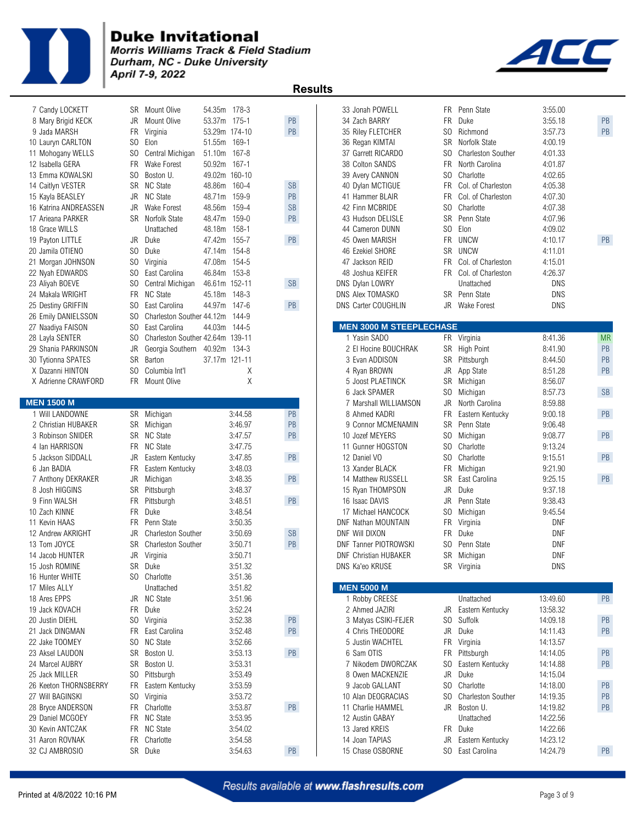

**Morris Williams Track & Field Stadium<br>Durham, NC - Duke University** April 7-9, 2022



| 7 Candy LOCKETT       | SR Mount Olive                         | 54.35m 178-3                       |                      | 33 Jonah POWELL                |                | FR Penn State             | 3:55.00    |           |
|-----------------------|----------------------------------------|------------------------------------|----------------------|--------------------------------|----------------|---------------------------|------------|-----------|
| 8 Mary Brigid KECK    | JR<br>Mount Olive                      | 53.37m 175-1                       | PB                   | 34 Zach BARRY                  |                | FR Duke                   | 3:55.18    | PB        |
| 9 Jada MARSH          | <b>FR</b><br>Virginia                  | 53.29m 174-10                      | PB                   | 35 Riley FLETCHER              | SO             | Richmond                  | 3:57.73    | PB        |
| 10 Lauryn CARLTON     | S <sub>0</sub><br>Elon                 | 169-1<br>51.55m                    |                      | 36 Regan KIMTAI                | <b>SR</b>      | Norfolk State             | 4:00.19    |           |
| 11 Mohogany WELLS     | SO.<br>Central Michigan                | 51.10m 167-8                       |                      | 37 Garrett RICARDO             | SO.            | <b>Charleston Souther</b> | 4:01.33    |           |
| 12 Isabella GERA      | <b>FR</b><br>Wake Forest               | 50.92m 167-1                       |                      | 38 Colton SANDS                | FR.            | North Carolina            | 4:01.87    |           |
| 13 Emma KOWALSKI      | SO.<br>Boston U.                       | 49.02m 160-10                      |                      | 39 Avery CANNON                | SO.            | Charlotte                 | 4:02.65    |           |
| 14 Caitlyn VESTER     | SR NC State                            | 48.86m 160-4                       | $\mathsf{SB}\xspace$ | 40 Dylan MCTIGUE               | <b>FR</b>      | Col. of Charleston        | 4:05.38    |           |
| 15 Kayla BEASLEY      | JR NC State                            | 48.71m 159-9                       | PB                   | 41 Hammer BLAIR                | FR.            | Col. of Charleston        | 4:07.30    |           |
| 16 Katrina ANDREASSEN | JR<br>Wake Forest                      | 48.56m<br>159-4                    | <b>SB</b>            | 42 Finn MCBRIDE                |                | SO Charlotte              | 4:07.38    |           |
| 17 Arieana PARKER     | SR Norfolk State                       | 48.47m 159-0                       | PB                   | 43 Hudson DELISLE              |                | SR Penn State             | 4:07.96    |           |
| 18 Grace WILLS        | Unattached                             | 48.18m<br>158-1                    |                      | 44 Cameron DUNN                | SO             | Elon                      | 4:09.02    |           |
| 19 Payton LITTLE      | JR Duke                                | 47.42m 155-7                       | PB                   | 45 Owen MARISH                 |                | FR UNCW                   | 4:10.17    | PB        |
| 20 Jamila OTIENO      | SO.<br>Duke                            | 47.14m 154-8                       |                      | 46 Ezekiel SHORE               |                | SR UNCW                   | 4:11.01    |           |
| 21 Morgan JOHNSON     | SO.<br>Virginia                        | 47.08m 154-5                       |                      | 47 Jackson REID                | FR             | Col. of Charleston        | 4:15.01    |           |
| 22 Nyah EDWARDS       | SO.<br>East Carolina                   | 46.84m 153-8                       |                      | 48 Joshua KEIFER               | FR.            | Col. of Charleston        | 4:26.37    |           |
| 23 Aliyah BOEVE       | SO.<br>Central Michigan                | 46.61m 152-11                      | <b>SB</b>            | DNS Dylan LOWRY                |                | Unattached                | <b>DNS</b> |           |
| 24 Makala WRIGHT      | <b>NC State</b><br>FR.                 | 45.18m 148-3                       |                      | DNS Alex TOMASKO               |                | SR Penn State             | <b>DNS</b> |           |
| 25 Destiny GRIFFIN    | SO.<br>East Carolina                   | 44.97m 147-6                       | PB                   | DNS Carter COUGHLIN            |                | JR Wake Forest            | <b>DNS</b> |           |
| 26 Emily DANIELSSON   | SO.                                    | Charleston Souther 44.12m<br>144-9 |                      |                                |                |                           |            |           |
| 27 Naadiya FAISON     | SO.<br>East Carolina                   | 44.03m 144-5                       |                      | <b>MEN 3000 M STEEPLECHASE</b> |                |                           |            |           |
| 28 Layla SENTER       | S <sub>0</sub>                         | Charleston Souther 42.64m 139-11   |                      | 1 Yasin SADO                   |                | FR Virginia               | 8:41.36    | <b>MR</b> |
| 29 Shania PARKINSON   | JR                                     | Georgia Southern 40.92m 134-3      |                      | 2 El Hocine BOUCHRAK           |                | SR High Point             | 8:41.90    | PB        |
| 30 Tytionna SPATES    | SR Barton                              | 37.17m 121-11                      |                      | 3 Evan ADDISON                 |                | SR Pittsburgh             | 8:44.50    | PB        |
| X Dazanni HINTON      | SO.<br>Columbia Int'l                  | Χ                                  |                      | 4 Ryan BROWN                   |                | JR App State              | 8:51.28    | PB        |
| X Adrienne CRAWFORD   | <b>FR</b><br>Mount Olive               | Χ                                  |                      | 5 Joost PLAETINCK              | SR             | Michigan                  | 8:56.07    |           |
|                       |                                        |                                    |                      | 6 Jack SPAMER                  | SO.            | Michigan                  | 8:57.73    | <b>SB</b> |
| <b>MEN 1500 M</b>     |                                        |                                    |                      | 7 Marshall WILLIAMSON          | JR             | North Carolina            | 8:59.88    |           |
| 1 Will LANDOWNE       | SR Michigan                            | 3:44.58                            | PB                   | 8 Ahmed KADRI                  | <b>FR</b>      | Eastern Kentucky          | 9:00.18    | PB        |
| 2 Christian HUBAKER   | SR Michigan                            | 3:46.97                            | PB                   | 9 Connor MCMENAMIN             | <b>SR</b>      | Penn State                | 9:06.48    |           |
| 3 Robinson SNIDER     | SR NC State                            | 3:47.57                            | PB                   | 10 Jozef MEYERS                | S <sub>0</sub> | Michigan                  | 9:08.77    | PB        |
| 4 Ian HARRISON        | FR NC State                            | 3:47.75                            |                      | 11 Gunner HOGSTON              |                | SO Charlotte              | 9:13.24    |           |
| 5 Jackson SIDDALL     | JR<br>Eastern Kentucky                 | 3:47.85                            | PB                   | 12 Daniel VO                   |                | SO Charlotte              | 9:15.51    | PB        |
| 6 Jan BADIA           | FR<br>Eastern Kentucky                 | 3:48.03                            |                      | 13 Xander BLACK                | FR             | Michigan                  | 9:21.90    |           |
| 7 Anthony DEKRAKER    | JR<br>Michigan                         | 3:48.35                            | PB                   | 14 Matthew RUSSELL             | <b>SR</b>      | East Carolina             | 9:25.15    | PB        |
| 8 Josh HIGGINS        | SR Pittsburgh                          | 3:48.37                            |                      | 15 Ryan THOMPSON               |                | JR Duke                   | 9:37.18    |           |
| 9 Finn WALSH          | FR<br>Pittsburgh                       | 3:48.51                            | PB                   | 16 Isaac DAVIS                 | JR             | Penn State                | 9:38.43    |           |
| 10 Zach KINNE         | <b>FR</b><br>Duke                      | 3:48.54                            |                      | 17 Michael HANCOCK             | SO.            | Michigan                  | 9:45.54    |           |
| 11 Kevin HAAS         | Penn State<br>FR.                      | 3:50.35                            |                      | DNF Nathan MOUNTAIN            | FR             | Virginia                  | DNF        |           |
| 12 Andrew AKRIGHT     | JR.<br><b>Charleston Souther</b>       | 3:50.69                            | <b>SB</b>            | DNF Will DIXON                 |                | FR Duke                   | DNF        |           |
| 13 Tom JOYCE          | <b>Charleston Souther</b><br><b>SR</b> | 3:50.71                            | PB                   | DNF Tanner PIOTROWSKI          | SO.            | Penn State                | DNF        |           |
| 14 Jacob HUNTER       | JR Virginia                            | 3:50.71                            |                      | <b>DNF Christian HUBAKER</b>   |                | SR Michigan               | DNF        |           |
| 15 Josh ROMINE        | SR Duke                                | 3:51.32                            |                      | DNS Ka'eo KRUSE                |                | SR Virginia               | <b>DNS</b> |           |
| 16 Hunter WHITE       | SO Charlotte                           | 3:51.36                            |                      |                                |                |                           |            |           |
| 17 Miles ALLY         | Unattached                             | 3:51.82                            |                      | <b>MEN 5000 M</b>              |                |                           |            |           |
| 18 Ares EPPS          | JR NC State                            | 3:51.96                            |                      | 1 Robby CREESE                 |                | Unattached                | 13:49.60   | PB        |
| 19 Jack KOVACH        | FR Duke                                | 3:52.24                            |                      | 2 Ahmed JAZIRI                 |                | JR Eastern Kentucky       | 13:58.32   |           |
| 20 Justin DIEHL       | SO Virginia                            | 3:52.38                            | PB                   | 3 Matyas CSIKI-FEJER           |                | SO Suffolk                | 14:09.18   | PB        |
| 21 Jack DINGMAN       | East Carolina<br>FR                    | 3:52.48                            | PB                   | 4 Chris THEODORE               |                | JR Duke                   | 14:11.43   | PB        |
| 22 Jake TOOMEY        | SO NC State                            | 3:52.66                            |                      | 5 Justin WACHTEL               | FR             | Virginia                  | 14:13.57   |           |
| 23 Aksel LAUDON       | SR Boston U.                           | 3:53.13                            | PB                   | 6 Sam OTIS                     |                | FR Pittsburgh             | 14:14.05   | PB        |
| 24 Marcel AUBRY       | SR Boston U.                           | 3:53.31                            |                      | 7 Nikodem DWORCZAK             | SO             | Eastern Kentucky          | 14:14.88   | PB        |
| 25 Jack MILLER        | S <sub>0</sub><br>Pittsburgh           | 3:53.49                            |                      | 8 Owen MACKENZIE               |                | JR Duke                   | 14:15.04   |           |
| 26 Keeton THORNSBERRY | FR Eastern Kentucky                    | 3:53.59                            |                      | 9 Jacob GALLANT                | SO             | Charlotte                 | 14:18.00   | PB        |
| 27 Will BAGINSKI      | SO Virginia                            | 3:53.72                            |                      | 10 Alan DEOGRACIAS             |                | SO Charleston Souther     | 14:19.35   | PB        |
| 28 Bryce ANDERSON     | FR Charlotte                           | 3:53.87                            | PB                   | 11 Charlie HAMMEL              |                | JR Boston U.              | 14:19.82   | PB        |
| 29 Daniel MCGOEY      | FR NC State                            | 3:53.95                            |                      | 12 Austin GABAY                |                | Unattached                | 14:22.56   |           |
| 30 Kevin ANTCZAK      | FR NC State                            | 3:54.02                            |                      | 13 Jared KREIS                 |                | FR Duke                   | 14:22.66   |           |
| 31 Aaron ROVNAK       | FR Charlotte                           | 3:54.58                            |                      | 14 Joan TAPIAS                 | JR             | Eastern Kentucky          | 14:23.12   |           |
| 32 CJ AMBROSIO        | SR Duke                                | 3:54.63                            | $\mathsf{PB}$        | 15 Chase OSBORNE               |                | SO East Carolina          | 14:24.79   | PB        |
|                       |                                        |                                    |                      |                                |                |                           |            |           |

| 33 Jonah POWELL                                | FR.       | Penn State                | 3:55.00            |           |
|------------------------------------------------|-----------|---------------------------|--------------------|-----------|
| 34 Zach BARRY                                  | FR.       | Duke                      | 3:55.18            | PB        |
| 35 Riley FLETCHER                              | SO.       | Richmond                  | 3:57.73            | PB        |
| 36 Regan KIMTAI                                |           | SR Norfolk State          | 4:00.19            |           |
| 37 Garrett RICARDO                             |           | SO Charleston Souther     | 4:01.33            |           |
| 38 Colton SANDS                                | FR 1      | North Carolina            | 4:01.87            |           |
| 39 Avery CANNON                                | SO –      | Charlotte                 | 4:02.65            |           |
| 40 Dylan MCTIGUE                               |           | FR Col. of Charleston     | 4:05.38            |           |
| 41 Hammer BLAIR                                |           | FR Col. of Charleston     | 4:07.30            |           |
| 42 Finn MCBRIDE                                | SO –      | Charlotte                 | 4:07.38            |           |
| 43 Hudson DELISLE                              |           | SR Penn State             | 4:07.96            |           |
| 44 Cameron DUNN                                |           | SO Elon                   | 4:09.02            |           |
| 45 Owen MARISH                                 |           | FR UNCW                   | 4:10.17            | PB        |
| 46 Ezekiel SHORE                               | SR        | <b>UNCW</b>               | 4:11.01            |           |
| 47 Jackson REID                                |           | FR Col. of Charleston     | 4:15.01            |           |
| 48 Joshua KEIFER                               | FR 1      | Col. of Charleston        | 4:26.37            |           |
| DNS Dylan LOWRY                                |           | Unattached                | DNS                |           |
| <b>DNS Alex TOMASKO</b>                        |           | SR Penn State             | DNS                |           |
| DNS Carter COUGHLIN                            | JR.       | Wake Forest               | DNS                |           |
|                                                |           |                           |                    |           |
| <b>MEN 3000 M STEEPLECHASE</b><br>1 Yasin SADO | FR.       | Virginia                  | 8:41.36            | МR        |
| 2 El Hocine BOUCHRAK                           | SR        | High Point                | 8:41.90            | <b>PB</b> |
| 3 Evan ADDISON                                 | <b>SR</b> | Pittsburgh                | 8:44.50            | PB        |
| 4 Ryan BROWN                                   | JR        | App State                 | 8:51.28            | PB        |
| 5 Joost PLAETINCK                              | SR        | Michigan                  | 8:56.07            |           |
| 6 Jack SPAMER                                  | SO -      | Michigan                  | 8:57.73            | SB        |
| 7 Marshall WILLIAMSON                          | JR        | North Carolina            | 8:59.88            |           |
| 8 Ahmed KADRI                                  | FR -      | Eastern Kentucky          | 9:00.18            | PB        |
| 9 Connor MCMENAMIN                             | SR        | Penn State                |                    |           |
| 10 Jozef MEYERS                                | SO.       |                           | 9:06.48            | PB        |
| 11 Gunner HOGSTON                              | SO -      | Michigan<br>Charlotte     | 9:08.77            |           |
| 12 Daniel VO                                   | SO -      | Charlotte                 | 9:13.24<br>9:15.51 | PB        |
| 13 Xander BLACK                                | FR        | Michigan                  | 9:21.90            |           |
| 14 Matthew RUSSELL                             |           | SR East Carolina          | 9:25.15            | PB        |
|                                                | JR        | Duke                      |                    |           |
| 15 Ryan THOMPSON                               | JR        |                           | 9:37.18            |           |
| 16 Isaac DAVIS                                 |           | Penn State                | 9:38.43            |           |
| 17 Michael HANCOCK                             | SO.       | Michigan                  | 9:45.54            |           |
| DNF Nathan MOUNTAIN                            | FR.       | FR Virginia<br>Duke       | DNF                |           |
| dnf Will Dixon<br><b>DNF Tanner PIOTROWSKI</b> | SO        | Penn State                | DNF                |           |
|                                                | <b>SR</b> |                           | DNF                |           |
| DNF Christian HUBAKER                          |           | Michigan                  | DNF                |           |
| DNS Ka'eo KRUSE                                |           | SR Virginia               | DNS                |           |
| <b>MEN 5000 M</b>                              |           |                           |                    |           |
| 1 Robby CREESE                                 |           | Unattached                | 13:49.60           | PB        |
| 2 Ahmed JAZIRI                                 | JR        | Eastern Kentucky          | 13:58.32           |           |
| 3 Matyas CSIKI-FEJER                           | SO.       | Suffolk                   | 14:09.18           | PB        |
| 4 Chris THEODORE                               | JR.       | Duke                      | 14:11.43           | PB        |
| 5 Justin WACHTEL                               | FR.       | Virginia                  | 14:13.57           |           |
| 6 Sam OTIS                                     | FR        | Pittsburgh                | 14:14.05           | PB        |
| 7 Nikodem DWORCZAK                             | SO.       | Eastern Kentucky          | 14:14.88           | PB        |
| 8 Owen MACKENZIE                               | JR.       | Duke                      | 14:15.04           |           |
| 9 Jacob GALLANT                                | SO.       | Charlotte                 | 14:18.00           | PB        |
| 10 Alan DEOGRACIAS                             | SO -      | <b>Charleston Souther</b> | 14:19.35           | PB        |
| 11 Charlie HAMMEL                              | JR        | Boston U.                 | 14:19.82           | PB        |
| 12 Austin GABAY                                |           | Unattached                | 14:22.56           |           |
| 13 Jared KREIS                                 | FR.       | Duke                      | 14:22.66           |           |
| 14 Joan TAPIAS                                 | JR        | Eastern Kentucky          | 14:23.12           |           |
| 15 Chase OSBORNE                               | SO.       | East Carolina             | 14:24.79           | PB.       |
|                                                |           |                           |                    |           |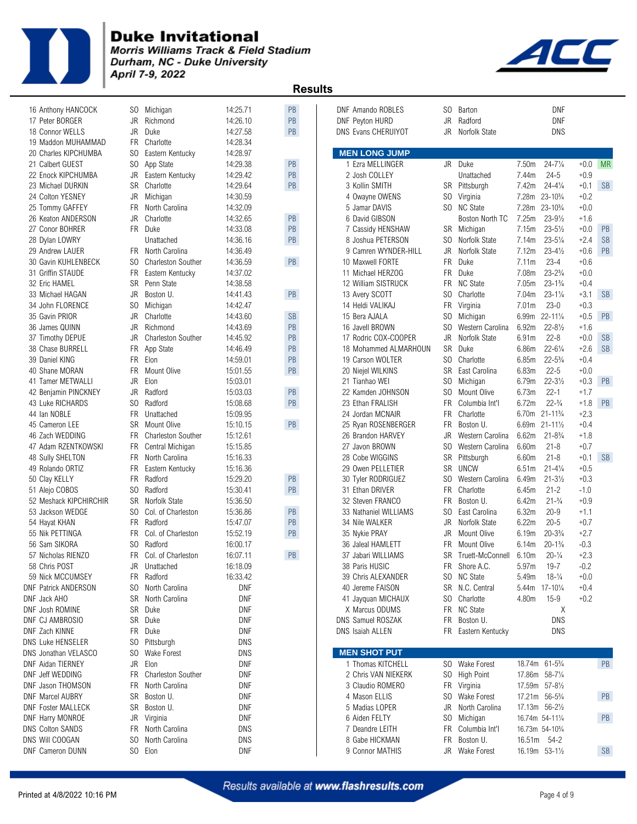

Morris Williams Track & Field Stadium Durham, NC - Duke University April 7-9, 2022



| 16 Anthony HANCOCK          | SO.       | Michigan                  | 14:25.71   | PB        | DNF Amando ROBLES          | SO.            | Barton              |                   | DNF                                      |        |           |
|-----------------------------|-----------|---------------------------|------------|-----------|----------------------------|----------------|---------------------|-------------------|------------------------------------------|--------|-----------|
| 17 Peter BORGER             | <b>JR</b> | Richmond                  | 14:26.10   | PB        | DNF Peyton HURD            | <b>JR</b>      | Radford             |                   | <b>DNF</b>                               |        |           |
| 18 Connor WELLS             | JR        | Duke                      | 14:27.58   | PB        | <b>DNS Evans CHERUIYOT</b> | <b>JR</b>      | Norfolk State       |                   | <b>DNS</b>                               |        |           |
| 19 Maddon MUHAMMAD          | <b>FR</b> | Charlotte                 | 14:28.34   |           |                            |                |                     |                   |                                          |        |           |
| 20 Charles KIPCHUMBA        | SO.       | Eastern Kentucky          | 14:28.97   |           | <b>MEN LONG JUMP</b>       |                |                     |                   |                                          |        |           |
| 21 Calbert GUEST            | SO.       | App State                 | 14:29.38   | PB        | 1 Ezra MELLINGER           | JR.            | Duke                | 7.50m             | $24 - 7\frac{1}{4}$                      | $+0.0$ | <b>MR</b> |
| 22 Enock KIPCHUMBA          | JR        | Eastern Kentucky          | 14:29.42   | PB        | 2 Josh COLLEY              |                | Unattached          | 7.44m             | $24 - 5$                                 | $+0.9$ |           |
| 23 Michael DURKIN           | <b>SR</b> | Charlotte                 | 14:29.64   | PB        | 3 Kollin SMITH             | SR             | Pittsburgh          | 7.42m             | $24 - 4\frac{1}{4}$                      | $+0.1$ | <b>SB</b> |
| 24 Colton YESNEY            | JR        | Michigan                  | 14:30.59   |           | 4 Owayne OWENS             | SO.            | Virginia            | 7.28m             | $23 - 10^{3}/4$                          | $+0.2$ |           |
| 25 Tommy GAFFEY             | <b>FR</b> | North Carolina            | 14:32.09   |           | 5 Jamar DAVIS              | SO.            | <b>NC State</b>     | 7.28m             | $23 - 10^{3}/4$                          | $+0.0$ |           |
| 26 Keaton ANDERSON          | JR        | Charlotte                 | 14:32.65   | PB        | 6 David GIBSON             |                | Boston North TC     | 7.25m             | $23 - 9\frac{1}{2}$                      | $+1.6$ |           |
| 27 Conor BOHRER             | <b>FR</b> | Duke                      | 14:33.08   | PB        | 7 Cassidy HENSHAW          |                | SR Michigan         | 7.15m             | $23 - 5\frac{1}{2}$                      | $+0.0$ | PB        |
| 28 Dylan LOWRY              |           | Unattached                | 14:36.16   | PB        | 8 Joshua PETERSON          | SO.            | Norfolk State       | 7.14m             | $23 - 5\frac{1}{4}$                      | $+2.4$ | <b>SB</b> |
| 29 Andrew LAUER             | FR.       | North Carolina            | 14:36.49   |           | 9 Camren WYNDER-HILL       | <b>JR</b>      | Norfolk State       | 7.12m             | $23 - 4\frac{1}{2}$                      | $+0.6$ | PB        |
| 30 Gavin KUHLENBECK         | SO.       | <b>Charleston Souther</b> | 14:36.59   | PB        | 10 Maxwell FORTE           | <b>FR</b>      | Duke                | 7.11m             | $23 - 4$                                 | $+0.6$ |           |
| 31 Griffin STAUDE           | <b>FR</b> | Eastern Kentucky          | 14:37.02   |           | 11 Michael HERZOG          | <b>FR</b>      | Duke                | 7.08m             | $23 - 2\frac{3}{4}$                      | $+0.0$ |           |
| 32 Eric HAMEL               | <b>SR</b> | Penn State                | 14:38.58   |           | 12 William SISTRUCK        | <b>FR</b>      | <b>NC State</b>     | 7.05m             | $23 - 1\frac{3}{4}$                      | $+0.4$ |           |
| 33 Michael HAGAN            | JR        | Boston U.                 | 14:41.43   | PB        | 13 Avery SCOTT             | S <sub>0</sub> | Charlotte           | 7.04m             | $23 - 1\frac{1}{4}$                      | $+3.1$ | <b>SB</b> |
| 34 John FLORENCE            | SO.       | Michigan                  | 14:42.47   |           | 14 Heldi VALIKAJ           | <b>FR</b>      | Virginia            | 7.01 <sub>m</sub> | $23 - 0$                                 | $+0.3$ |           |
| 35 Gavin PRIOR              | JR        | Charlotte                 | 14:43.60   | <b>SB</b> | 15 Bera AJALA              | SO.            | Michigan            | 6.99m             | $22 - 11\frac{1}{4}$                     | $+0.5$ | PB        |
| 36 James QUINN              | JR        | Richmond                  | 14:43.69   | PB        | 16 Javell BROWN            | SO.            | Western Carolina    | 6.92m             | $22 - 8\frac{1}{2}$                      | $+1.6$ |           |
| 37 Timothy DEPUE            | JR        | <b>Charleston Souther</b> | 14:45.92   | PB        | 17 Rodric COX-COOPER       | <b>JR</b>      | Norfolk State       | 6.91m             | $22 - 8$                                 | $+0.0$ | <b>SB</b> |
| 38 Chase BURRELL            | <b>FR</b> | App State                 | 14:46.49   | PB        | 18 Mohammed ALMARHOUN      | <b>SR</b>      | Duke                | 6.86m             | $22 - 6\frac{1}{4}$                      | $+2.6$ | <b>SB</b> |
| 39 Daniel KING              | FR.       | Elon                      | 14:59.01   | PB        | 19 Carson WOLTER           | SO.            | Charlotte           | 6.85m             | $22 - 5\frac{3}{4}$                      | $+0.4$ |           |
| 40 Shane MORAN              | <b>FR</b> | Mount Olive               | 15:01.55   | PB        | 20 Niejel WILKINS          | <b>SR</b>      | East Carolina       | 6.83m             | $22 - 5$                                 | $+0.0$ |           |
| 41 Tamer METWALLI           | <b>JR</b> | Elon                      | 15:03.01   |           | 21 Tianhao WEI             | SO.            | Michigan            | 6.79m             | $22 - 3\frac{1}{2}$                      | $+0.3$ | PB        |
|                             |           |                           | 15:03.03   | PB        |                            | S <sub>0</sub> |                     | 6.73m             | $22 - 1$                                 | $+1.7$ |           |
| 42 Benjamin PINCKNEY        | JR        | Radford                   |            |           | 22 Kamden JOHNSON          |                | Mount Olive         |                   |                                          |        |           |
| 43 Luke RICHARDS            | SO.       | Radford                   | 15:08.68   | PB        | 23 Ethan FRALISH           | <b>FR</b>      | Columbia Int'l      | 6.72m             | $22 - \frac{3}{4}$                       | $+1.8$ | PB        |
| 44 Ian NOBLE                | <b>FR</b> | Unattached                | 15:09.95   |           | 24 Jordan MCNAIR           | <b>FR</b>      | Charlotte           | 6.70m             | $21 - 11\frac{3}{4}$                     | $+2.3$ |           |
| 45 Cameron LEE              | <b>SR</b> | Mount Olive               | 15:10.15   | PB        | 25 Ryan ROSENBERGER        | <b>FR</b>      | Boston U.           | 6.69m             | $21 - 11\frac{1}{2}$                     | $+0.4$ |           |
| 46 Zach WEDDING             | <b>FR</b> | Charleston Souther        | 15:12.61   |           | 26 Brandon HARVEY          | <b>JR</b>      | Western Carolina    | 6.62m             | $21 - 8\frac{3}{4}$                      | $+1.8$ |           |
| 47 Adam RZENTKOWSKI         | <b>FR</b> | Central Michigan          | 15:15.85   |           | 27 Javon BROWN             | S <sub>0</sub> | Western Carolina    | 6.60m             | $21 - 8$                                 | $+0.7$ |           |
| 48 Sully SHELTON            | <b>FR</b> | North Carolina            | 15:16.33   |           | 28 Cobe WIGGINS            | <b>SR</b>      | Pittsburgh          | 6.60m             | $21 - 8$                                 | $+0.1$ | <b>SB</b> |
| 49 Rolando ORTIZ            | FR        | Eastern Kentucky          | 15:16.36   |           | 29 Owen PELLETIER          | <b>SR</b>      | <b>UNCW</b>         | 6.51m             | $21 - 4\frac{1}{4}$                      | $+0.5$ |           |
| 50 Clay KELLY               | <b>FR</b> | Radford                   | 15:29.20   | PB        | 30 Tyler RODRIGUEZ         | SO.            | Western Carolina    | 6.49m             | $21 - 3\frac{1}{2}$                      | $+0.3$ |           |
| 51 Alejo COBOS              | SO.       | Radford                   | 15:30.41   | PB        | 31 Ethan DRIVER            | <b>FR</b>      | Charlotte           | 6.45m             | $21 - 2$                                 | $-1.0$ |           |
| 52 Meshack KIPCHIRCHIR      | <b>SR</b> | Norfolk State             | 15:36.50   |           | 32 Steven FRANCO           | <b>FR</b>      | Boston U.           | 6.42m             | $21 - \frac{3}{4}$                       | $+0.9$ |           |
| 53 Jackson WEDGE            | SO.       | Col. of Charleston        | 15:36.86   | PB        | 33 Nathaniel WILLIAMS      | S <sub>0</sub> | East Carolina       | 6.32m             | $20 - 9$                                 | $+1.1$ |           |
| 54 Hayat KHAN               | <b>FR</b> | Radford                   | 15:47.07   | PB        | 34 Nile WALKER             | JR             | Norfolk State       | 6.22m             | $20 - 5$                                 | $+0.7$ |           |
| 55 Nik PETTINGA             | <b>FR</b> | Col. of Charleston        | 15:52.19   | PB        | 35 Nykie PRAY              | JR             | Mount Olive         | 6.19m             | $20 - 3\frac{3}{4}$                      | $+2.7$ |           |
| 56 Sam SIKORA               | SO.       | Radford                   | 16:00.17   |           | 36 Jaleal HAMLETT          | <b>FR</b>      | Mount Olive         | 6.14m             | $20 - 1\frac{3}{4}$                      | $-0.3$ |           |
| 57 Nicholas RIENZO          | <b>FR</b> | Col. of Charleston        | 16:07.11   | <b>PB</b> | 37 Jabari WILLIAMS         | <b>SR</b>      | Truett-McConnell    | 6.10m             | $20 - \frac{1}{4}$                       | $+2.3$ |           |
| 58 Chris POST               | JR        | Unattached                | 16:18.09   |           | 38 Paris HUSIC             |                | FR Shore A.C.       | $5.97m$           | $19 - 7$                                 | $-0.2$ |           |
| 59 Nick MCCUMSEY            | <b>FR</b> | Radford                   | 16:33.42   |           | 39 Chris ALEXANDER         | SO.            | <b>NC State</b>     | 5.49m             | $18-1/4$                                 | $+0.0$ |           |
| <b>DNF Patrick ANDERSON</b> | SO.       | North Carolina            | DNF        |           | 40 Jereme FAISON           | SR             | N.C. Central        | 5.44m             | $17 - 10\%$                              | $+0.4$ |           |
| DNF Jack AHO                | SR        | North Carolina            | DNF        |           | 41 Jayquan MICHAUX         | SO.            | Charlotte           | 4.80m             | $15-9$                                   | $+0.2$ |           |
| DNF Josh ROMINE             |           | SR Duke                   | DNF        |           | X Marcus ODUMS             |                | FR NC State         |                   | Χ                                        |        |           |
| DNF CJ AMBROSIO             | SR        | Duke                      | <b>DNF</b> |           | DNS Samuel ROSZAK          | FR             | Boston U.           |                   | <b>DNS</b>                               |        |           |
| DNF Zach KINNE              | FR.       | Duke                      | DNF        |           | DNS Isaiah ALLEN           |                | FR Eastern Kentucky |                   | DNS                                      |        |           |
| DNS Luke HENSELER           | SO.       | Pittsburgh                | DNS        |           |                            |                |                     |                   |                                          |        |           |
| DNS Jonathan VELASCO        | SO.       | <b>Wake Forest</b>        | DNS        |           | <b>MEN SHOT PUT</b>        |                |                     |                   |                                          |        |           |
| DNF Aidan TIERNEY           | JR        | Elon                      | <b>DNF</b> |           | 1 Thomas KITCHELL          |                | SO Wake Forest      |                   | 18.74m 61-5 <sup>3</sup> / <sub>4</sub>  |        | PB        |
| DNF Jeff WEDDING            | FR        | Charleston Souther        | <b>DNF</b> |           | 2 Chris VAN NIEKERK        | SO.            | <b>High Point</b>   |                   | 17.86m 58-71/4                           |        |           |
| DNF Jason THOMSON           | FR        | North Carolina            | DNF        |           | 3 Claudio ROMERO           |                | FR Virginia         |                   | 17.59m 57-81/2                           |        |           |
| <b>DNF Marcel AUBRY</b>     | SR        | Boston U.                 | DNF        |           | 4 Mason ELLIS              | SO.            | Wake Forest         |                   | 17.21m 56-5 <sup>3</sup> / <sub>4</sub>  |        | PB        |
| <b>DNF Foster MALLECK</b>   | SR        | Boston U.                 | <b>DNF</b> |           | 5 Madias LOPER             | JR             | North Carolina      |                   | 17.13m 56-21/2                           |        |           |
| DNF Harry MONROE            | JR        | Virginia                  | DNF        |           | 6 Aiden FELTY              | SO.            | Michigan            |                   | 16.74m 54-111/4                          |        | PB        |
| <b>DNS Colton SANDS</b>     | FR        | North Carolina            | <b>DNS</b> |           | 7 Deandre LEITH            | FR             | Columbia Int'l      |                   | 16.73m 54-10 <sup>3</sup> / <sub>4</sub> |        |           |
| DNS Will COOGAN             | SO.       | North Carolina            | <b>DNS</b> |           | 8 Gabe HICKMAN             | FR             | Boston U.           |                   | 16.51m 54-2                              |        |           |
| <b>DNF Cameron DUNN</b>     |           | SO Elon                   | DNF        |           | 9 Connor MATHIS            | JR.            | Wake Forest         |                   | 16.19m 53-11/2                           |        | <b>SB</b> |
|                             |           |                           |            |           |                            |                |                     |                   |                                          |        |           |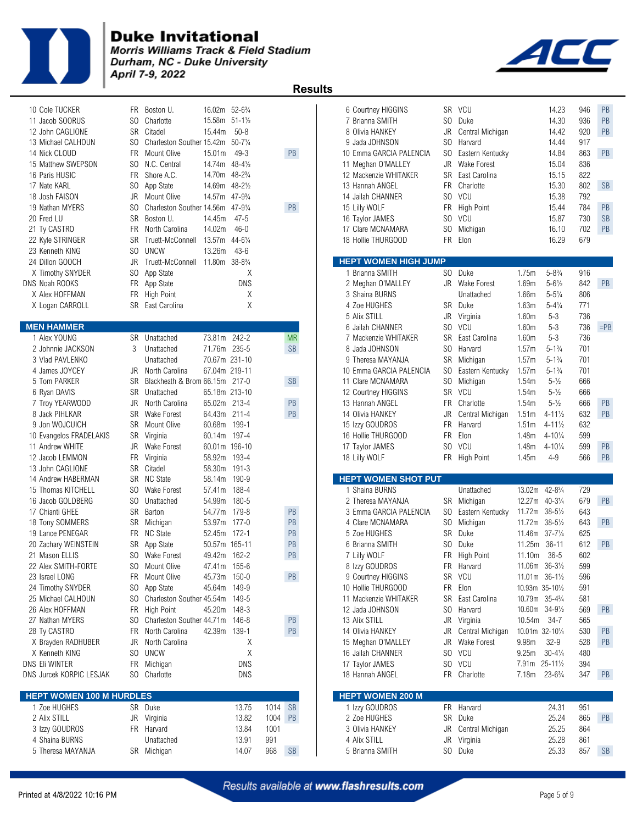

Morris Williams Track & Field Stadium Durham, NC - Duke University April 7-9, 2022



| 10 Cole TUCKER                  | FR.             | Boston U.                                        | 16.02m 52-6 <sup>3</sup> / <sub>4</sub> |                     |      |               | 6 Courtney HIGGINS                           |            | SR VCU             |                 | 14.23                                   | 946        | PB        |
|---------------------------------|-----------------|--------------------------------------------------|-----------------------------------------|---------------------|------|---------------|----------------------------------------------|------------|--------------------|-----------------|-----------------------------------------|------------|-----------|
| 11 Jacob SOORUS                 | SO.             | Charlotte                                        | 15.58m 51-11/2                          |                     |      |               | 7 Brianna SMITH                              | SO.        | Duke               |                 | 14.30                                   | 936        | PB        |
| 12 John CAGLIONE                | SR              | Citadel                                          | 15.44m                                  | $50 - 8$            |      |               | 8 Olivia HANKEY                              | JR         | Central Michigan   |                 | 14.42                                   | 920        | PB        |
| 13 Michael CALHOUN              | SO.             | Charleston Souther 15.42m 50-71/4                |                                         |                     |      |               | 9 Jada JOHNSON                               | SO.        | Harvard            |                 | 14.44                                   | 917        |           |
| 14 Nick CLOUD                   | <b>FR</b>       | Mount Olive                                      | 15.01m                                  | $49 - 3$            |      | PB            | 10 Emma GARCIA PALENCIA                      | SO.        | Eastern Kentucky   |                 | 14.84                                   | 863        | PB        |
| 15 Matthew SWEPSON              | S <sub>0</sub>  | N.C. Central                                     | 14.74m                                  | $48 - 4\frac{1}{2}$ |      |               | 11 Meghan O'MALLEY                           | JR         | <b>Wake Forest</b> |                 | 15.04                                   | 836        |           |
| 16 Paris HUSIC                  | FR.             | Shore A.C.                                       | 14.70m 48-2 <sup>3</sup> / <sub>4</sub> |                     |      |               | 12 Mackenzie WHITAKER                        | SR         | East Carolina      |                 | 15.15                                   | 822        |           |
| 17 Nate KARL                    | S <sub>0</sub>  | App State                                        | 14.69m                                  | $48 - 2\frac{1}{2}$ |      |               | 13 Hannah ANGEL                              | FR.        | Charlotte          |                 | 15.30                                   | 802        | <b>SB</b> |
| 18 Josh FAISON                  | JR              | Mount Olive                                      | 14.57m                                  | $47 - 9\frac{3}{4}$ |      |               | 14 Jailah CHANNER                            | SO.        | VCU                |                 | 15.38                                   | 792        |           |
| 19 Nathan MYERS                 | SO.             | Charleston Souther 14.56m                        |                                         | $47 - 9\frac{1}{4}$ |      | PB            | 15 Lilly WOLF                                | <b>FR</b>  | <b>High Point</b>  |                 | 15.44                                   | 784        | PB        |
| 20 Fred LU                      | SR              | Boston U.                                        | 14.45m                                  | $47 - 5$            |      |               | 16 Taylor JAMES                              |            | SO VCU             |                 | 15.87                                   | 730        | <b>SB</b> |
| 21 Tv CASTRO                    | <b>FR</b>       | North Carolina                                   | 14.02m                                  | $46 - 0$            |      |               | 17 Clare MCNAMARA                            | SO.        | Michigan           |                 | 16.10                                   | 702        | PB        |
| 22 Kyle STRINGER                | <b>SR</b>       | Truett-McConnell 13.57m                          |                                         | $44 - 6\frac{1}{4}$ |      |               | 18 Hollie THURGOOD                           | FR.        | Elon               |                 | 16.29                                   | 679        |           |
| 23 Kenneth KING                 | SO.             | <b>UNCW</b>                                      | 13.26m                                  | $43-6$              |      |               |                                              |            |                    |                 |                                         |            |           |
| 24 Dillon GOOCH                 | JR              | Truett-McConnell 11.80m 38-83/4                  |                                         |                     |      |               | <b>HEPT WOMEN HIGH JUMP</b>                  |            |                    |                 |                                         |            |           |
| X Timothy SNYDER                | SO.             | App State                                        |                                         | Χ                   |      |               | 1 Brianna SMITH                              |            | SO Duke            | 1.75m           | $5 - 8\frac{3}{4}$                      | 916        |           |
| DNS Noah ROOKS                  |                 | FR App State                                     |                                         | <b>DNS</b>          |      |               | 2 Meghan O'MALLEY                            |            | JR Wake Forest     | 1.69m           | $5 - 6\frac{1}{2}$                      | 842        | PB        |
| X Alex HOFFMAN                  | FR              | <b>High Point</b>                                |                                         | Χ                   |      |               | 3 Shaina BURNS                               |            | Unattached         | 1.66m           | $5 - 5\frac{1}{4}$                      | 806        |           |
| X Logan CARROLL                 |                 | SR East Carolina                                 |                                         | X                   |      |               | 4 Zoe HUGHES                                 | SR         | Duke               | 1.63m           | $5 - 4\frac{1}{4}$                      | 771        |           |
|                                 |                 |                                                  |                                         |                     |      |               | 5 Alix STILL                                 | JR         | Virginia           | 1.60m           | $5 - 3$                                 | 736        |           |
| <b>MEN HAMMER</b>               |                 |                                                  |                                         |                     |      |               | 6 Jailah CHANNER                             | SO.        | VCU                | 1.60m           | $5-3$                                   | 736        | $=$ PB    |
| 1 Alex YOUNG                    |                 | SR Unattached                                    | 73.81m 242-2                            |                     |      | <b>MR</b>     | 7 Mackenzie WHITAKER                         | SR         | East Carolina      | 1.60m           | $5 - 3$                                 | 736        |           |
| 2 Johnnie JACKSON               | 3               | Unattached                                       | 71.76m 235-5                            |                     |      | <b>SB</b>     | 8 Jada JOHNSON                               | SO.        | Harvard            | 1.57m           | $5 - 1\frac{3}{4}$                      | 701        |           |
| 3 Vlad PAVLENKO                 |                 | Unattached                                       | 70.67m 231-10                           |                     |      |               | 9 Theresa MAYANJA                            | SR         | Michigan           | 1.57m           | $5 - 1\frac{3}{4}$                      | 701        |           |
| 4 James JOYCEY<br>5 Tom PARKER  | JR<br><b>SR</b> | North Carolina<br>Blackheath & Brom 66.15m 217-0 | 67.04m 219-11                           |                     |      | <b>SB</b>     | 10 Emma GARCIA PALENCIA<br>11 Clare MCNAMARA | SO.<br>SO. | Eastern Kentucky   | 1.57m           | $5 - 1\frac{3}{4}$<br>$5 - \frac{1}{2}$ | 701<br>666 |           |
|                                 | SR              | Unattached                                       | 65.18m 213-10                           |                     |      |               |                                              | SR         | Michigan<br>VCU    | 1.54m<br>1.54m  | $5 - \frac{1}{2}$                       | 666        |           |
| 6 Ryan DAVIS<br>7 Troy YEARWOOD | JR              | North Carolina                                   | 65.02m 213-4                            |                     |      | PB            | 12 Courtney HIGGINS<br>13 Hannah ANGEL       | FR.        | Charlotte          | 1.54m           | $5 - \frac{1}{2}$                       | 666        | PB        |
| 8 Jack PIHLKAR                  | <b>SR</b>       | <b>Wake Forest</b>                               | 64.43m 211-4                            |                     |      | PB            | 14 Olivia HANKEY                             | JR         | Central Michigan   | 1.51m           | $4 - 11\frac{1}{2}$                     | 632        | PB        |
| 9 Jon WOJCUICH                  | SR              | Mount Olive                                      | 60.68m 199-1                            |                     |      |               | 15 Izzy GOUDROS                              | <b>FR</b>  | Harvard            | 1.51m           | $4 - 11\frac{1}{2}$                     | 632        |           |
| 10 Evangelos FRADELAKIS         |                 | SR Virginia                                      | 60.14m 197-4                            |                     |      |               | 16 Hollie THURGOOD                           | <b>FR</b>  | Elon               | 1.48m           | $4 - 10\frac{1}{4}$                     | 599        |           |
| 11 Andrew WHITE                 | JR              | Wake Forest                                      | 60.01m 196-10                           |                     |      |               | 17 Taylor JAMES                              | SO.        | VCU                | 1.48m           | $4 - 10\frac{1}{4}$                     | 599        | PB        |
| 12 Jacob LEMMON                 | <b>FR</b>       | Virginia                                         | 58.92m 193-4                            |                     |      |               | 18 Lilly WOLF                                |            | FR High Point      | 1.45m           | $4 - 9$                                 | 566        | PB        |
| 13 John CAGLIONE                |                 | SR Citadel                                       | 58.30m 191-3                            |                     |      |               |                                              |            |                    |                 |                                         |            |           |
| 14 Andrew HABERMAN              | SR              | NC State                                         | 58.14m                                  | 190-9               |      |               | <b>HEPT WOMEN SHOT PUT</b>                   |            |                    |                 |                                         |            |           |
| 15 Thomas KITCHELL              | SO.             | <b>Wake Forest</b>                               | 57.41m 188-4                            |                     |      |               | 1 Shaina BURNS                               |            | Unattached         | 13.02m          | $42 - 8\frac{3}{4}$                     | 729        |           |
| 16 Jacob GOLDBERG               | SO.             | Unattached                                       | 54.99m                                  | 180-5               |      |               | 2 Theresa MAYANJA                            |            | SR Michigan        |                 | 12.27m 40-31/4                          | 679        | PB        |
| 17 Chianti GHEE                 | SR              | Barton                                           | 54.77m 179-8                            |                     |      | PB            | 3 Emma GARCIA PALENCIA                       | SO.        | Eastern Kentucky   | 11.72m 38-51/2  |                                         | 643        |           |
| 18 Tony SOMMERS                 | <b>SR</b>       | Michigan                                         | 53.97m                                  | 177-0               |      | PB            | 4 Clare MCNAMARA                             | SO.        | Michigan           | 11.72m          | $38 - 5\frac{1}{2}$                     | 643        | PB        |
| 19 Lance PENEGAR                | FR.             | NC State                                         | 52.45m 172-1                            |                     |      | PB            | 5 Zoe HUGHES                                 | SR         | Duke               | 11.46m          | $37 - 7\frac{1}{4}$                     | 625        |           |
| 20 Zachary WEINSTEIN            | <b>SR</b>       | App State                                        | 50.57m 165-11                           |                     |      | PB            | 6 Brianna SMITH                              | SO.        | Duke               | 11.25m          | $36 - 11$                               | 612        | PB        |
| 21 Mason ELLIS                  |                 | SO Wake Forest                                   | 49.42m 162-2                            |                     |      | <b>PB</b>     | 7 Lilly WOLF                                 |            | FR High Point      | 11.10m 36-5     |                                         | 602        |           |
| 22 Alex SMITH-FORTE             |                 | SO Mount Olive                                   | 47.41m 155-6                            |                     |      |               | 8 Izzy GOUDROS                               |            | FR Harvard         | 11.06m 36-31/2  |                                         | 599        |           |
| 23 Israel LONG                  | FR              | Mount Olive                                      | 45.73m 150-0                            |                     |      | PB            | 9 Courtney HIGGINS                           |            | SR VCU             |                 | $11.01m$ 36-11/ <sub>2</sub>            | 596        |           |
| 24 Timothy SNYDER               | SO.             | App State                                        | 45.64m 149-9                            |                     |      |               | 10 Hollie THURGOOD                           | FR         | Elon               |                 | 10.93m 35-101/2                         | 591        |           |
| 25 Michael CALHOUN              |                 | SO Charleston Souther 45.54m 149-5               |                                         |                     |      |               | 11 Mackenzie WHITAKER                        | SR         | East Carolina      |                 | 10.79m 35-4 <sup>3</sup> / <sub>4</sub> | 581        |           |
| 26 Alex HOFFMAN                 |                 | FR High Point                                    | 45.20m 148-3                            |                     |      |               | 12 Jada JOHNSON                              | SO -       | Harvard            |                 | 10.60m 34-91/2                          | 569        | PB        |
| 27 Nathan MYERS                 | SO.             | Charleston Souther 44.71m                        |                                         | 146-8               |      | $\mathsf{PB}$ | 13 Alix STILL                                |            | JR Virginia        | 10.54m          | 34-7                                    | 565        |           |
| 28 Ty CASTRO                    | FR              | North Carolina                                   | 42.39m 139-1                            |                     |      | PB            | 14 Olivia HANKEY                             | JR         | Central Michigan   | 10.01m 32-101/4 |                                         | 530        | <b>PB</b> |
| X Brayden RADHUBER              | JR              | North Carolina                                   |                                         | Χ                   |      |               | 15 Meghan O'MALLEY                           | JR         | <b>Wake Forest</b> | 9.98m           | $32 - 9$                                | 528        | PB        |
| X Kenneth KING                  | S <sub>0</sub>  | <b>UNCW</b>                                      |                                         | Χ                   |      |               | 16 Jailah CHANNER                            |            | SO VCU             | 9.25m           | $30 - 4\frac{1}{4}$                     | 480        |           |
| DNS Eli WINTER                  | <b>FR</b>       | Michigan                                         |                                         | <b>DNS</b>          |      |               | 17 Taylor JAMES                              |            | SO VCU             |                 | 7.91m 25-111/2                          | 394        |           |
| DNS Jurcek KORPIC LESJAK        |                 | SO Charlotte                                     |                                         | <b>DNS</b>          |      |               | 18 Hannah ANGEL                              |            | FR Charlotte       | 7.18m           | $23 - 6\frac{3}{4}$                     | 347        | PB        |
| <b>HEPT WOMEN 100 M HURDLES</b> |                 |                                                  |                                         |                     |      |               | <b>HEPT WOMEN 200 M</b>                      |            |                    |                 |                                         |            |           |
| 1 Zoe HUGHES                    |                 | SR Duke                                          |                                         | 13.75               | 1014 | <b>SB</b>     | 1 Izzy GOUDROS                               | FR         | Harvard            |                 | 24.31                                   | 951        |           |
| 2 Alix STILL                    |                 | JR Virginia                                      |                                         | 13.82               | 1004 | <b>PB</b>     | 2 Zoe HUGHES                                 |            | SR Duke            |                 | 25.24                                   | 865        | PB        |
| 3 Izzy GOUDROS                  |                 | FR Harvard                                       |                                         | 13.84               | 1001 |               | 3 Olivia HANKEY                              | JR         | Central Michigan   |                 | 25.25                                   | 864        |           |
| 4 Shaina BURNS                  |                 | Unattached                                       |                                         | 13.91               | 991  |               | 4 Alix STILL                                 | JR         | Virginia           |                 | 25.28                                   | 861        |           |
| 5 Theresa MAYANJA               |                 | SR Michigan                                      |                                         | 14.07               | 968  | <b>SB</b>     | 5 Brianna SMITH                              |            | SO Duke            |                 | 25.33                                   | 857        | <b>SB</b> |
|                                 |                 |                                                  |                                         |                     |      |               |                                              |            |                    |                 |                                         |            |           |

| 6 Courtney HIGGINS<br>7 Brianna SMITH<br>8 Olivia HANKEY<br>9 Jada JOHNSON<br>11 Meghan O'MALLEY<br>12 Mackenzie WHITAKER<br>13 Hannah ANGEL<br>14 Jailah CHANNER<br>15 Lilly WOLF<br>16 Taylor JAMES<br>17 Clare MCNAMARA<br>18 Hollie THURGOOD | 10 Emma GARCIA PALENCIA     | SR<br>SO<br>JR<br>SO.<br>SO.<br>JR<br><b>SR</b><br>FR.<br>SO.<br>FR<br>S <sub>0</sub><br>SO.<br>FR. | <b>VCU</b><br>Duke<br>Central Michigan<br>Harvard<br>Eastern Kentucky<br>Wake Forest<br>East Carolina<br>Charlotte<br>VCU<br><b>High Point</b><br>VCU<br>Michigan<br>Elon |                                         | 14.23<br>14.30<br>14.42<br>14.44<br>14.84<br>15.04<br>15.15<br>15.30<br>15.38<br>15.44<br>15.87<br>16.10<br>16.29 | 946<br>936<br>920<br>917<br>863<br>836<br>822<br>802<br>792<br>784<br>730<br>702<br>679 | PB<br>PB<br>PB<br>PB<br><b>SB</b><br>PB<br><b>SB</b><br>PB |
|--------------------------------------------------------------------------------------------------------------------------------------------------------------------------------------------------------------------------------------------------|-----------------------------|-----------------------------------------------------------------------------------------------------|---------------------------------------------------------------------------------------------------------------------------------------------------------------------------|-----------------------------------------|-------------------------------------------------------------------------------------------------------------------|-----------------------------------------------------------------------------------------|------------------------------------------------------------|
|                                                                                                                                                                                                                                                  | <b>HEPT WOMEN HIGH JUMP</b> |                                                                                                     |                                                                                                                                                                           |                                         |                                                                                                                   |                                                                                         |                                                            |
| 1 Brianna SMITH                                                                                                                                                                                                                                  |                             | SO.                                                                                                 | Duke                                                                                                                                                                      | 1.75m                                   | $5 - 8\frac{3}{4}$                                                                                                | 916                                                                                     |                                                            |
| 2 Meghan O'MALLEY                                                                                                                                                                                                                                |                             | JR                                                                                                  | Wake Forest                                                                                                                                                               | 1.69m                                   | $5 - 6\frac{1}{2}$                                                                                                | 842                                                                                     | PB                                                         |
| 3 Shaina BURNS                                                                                                                                                                                                                                   |                             |                                                                                                     | Unattached                                                                                                                                                                | 1.66m                                   | $5 - 5\frac{1}{4}$                                                                                                | 806                                                                                     |                                                            |
| 4 Zoe HUGHES                                                                                                                                                                                                                                     |                             | SR                                                                                                  | Duke                                                                                                                                                                      | 1.63m                                   | $5 - 4\frac{1}{4}$                                                                                                | 771                                                                                     |                                                            |
| 5 Alix STILL<br>6 Jailah CHANNER                                                                                                                                                                                                                 |                             | JR<br>SO.                                                                                           | Virginia<br>VCU                                                                                                                                                           | 1.60m<br>1.60m                          | $5 - 3$<br>$5 - 3$                                                                                                | 736<br>736                                                                              | $=$ PB                                                     |
| 7 Mackenzie WHITAKER                                                                                                                                                                                                                             |                             | SR                                                                                                  | East Carolina                                                                                                                                                             | 1.60m                                   | $5 - 3$                                                                                                           | 736                                                                                     |                                                            |
| 8 Jada JOHNSON                                                                                                                                                                                                                                   |                             | SO.                                                                                                 | Harvard                                                                                                                                                                   | 1.57m                                   | $5 - 1\frac{3}{4}$                                                                                                | 701                                                                                     |                                                            |
| 9 Theresa MAYANJA                                                                                                                                                                                                                                |                             | SR                                                                                                  | Michigan                                                                                                                                                                  | 1.57m                                   | $5 - 1\frac{3}{4}$                                                                                                | 701                                                                                     |                                                            |
|                                                                                                                                                                                                                                                  | 10 Emma GARCIA PALENCIA     | SO.                                                                                                 | Eastern Kentucky                                                                                                                                                          | 1.57m                                   | $5 - 1\frac{3}{4}$                                                                                                | 701                                                                                     |                                                            |
| 11 Clare MCNAMARA                                                                                                                                                                                                                                |                             | SO.                                                                                                 | Michigan                                                                                                                                                                  | 1.54m                                   | $5 - \frac{1}{2}$                                                                                                 | 666                                                                                     |                                                            |
| 12 Courtney HIGGINS                                                                                                                                                                                                                              |                             | SR                                                                                                  | VCU                                                                                                                                                                       | 1.54m                                   | $5 - \frac{1}{2}$                                                                                                 | 666                                                                                     |                                                            |
| 13 Hannah ANGEL                                                                                                                                                                                                                                  |                             | FR.                                                                                                 | Charlotte                                                                                                                                                                 | 1.54m                                   | $5 - \frac{1}{2}$                                                                                                 | 666                                                                                     | PB                                                         |
| 14 Olivia HANKEY                                                                                                                                                                                                                                 |                             | JR                                                                                                  | Central Michigan                                                                                                                                                          | 1.51 <sub>m</sub>                       | $4 - 11\frac{1}{2}$                                                                                               | 632                                                                                     | PB                                                         |
| 15 Izzy GOUDROS                                                                                                                                                                                                                                  |                             | FR.                                                                                                 | Harvard                                                                                                                                                                   | 1.51 <sub>m</sub>                       | $4 - 11\frac{1}{2}$                                                                                               | 632                                                                                     |                                                            |
| 16 Hollie THURGOOD                                                                                                                                                                                                                               |                             | FR.                                                                                                 | Elon                                                                                                                                                                      | 1.48m                                   | 4-101/4                                                                                                           | 599                                                                                     |                                                            |
| 17 Taylor JAMES                                                                                                                                                                                                                                  |                             | SO.                                                                                                 | VCU<br><b>High Point</b>                                                                                                                                                  | 1.48m<br>1.45m                          | 4-101/4<br>4-9                                                                                                    | 599<br>566                                                                              | PB<br>PB                                                   |
|                                                                                                                                                                                                                                                  |                             |                                                                                                     |                                                                                                                                                                           |                                         |                                                                                                                   |                                                                                         |                                                            |
| 18 Lilly WOLF                                                                                                                                                                                                                                    |                             | FR                                                                                                  |                                                                                                                                                                           |                                         |                                                                                                                   |                                                                                         |                                                            |
|                                                                                                                                                                                                                                                  |                             |                                                                                                     |                                                                                                                                                                           |                                         |                                                                                                                   |                                                                                         |                                                            |
| 1 Shaina BURNS                                                                                                                                                                                                                                   | <b>HEPT WOMEN SHOT PUT</b>  |                                                                                                     | Unattached                                                                                                                                                                | 13.02m                                  | $42 - 8\frac{3}{4}$                                                                                               | 729                                                                                     |                                                            |
| 2 Theresa MAYANJA                                                                                                                                                                                                                                |                             | SR                                                                                                  | Michigan                                                                                                                                                                  | 12.27m                                  | $40 - 3\frac{1}{4}$                                                                                               | 679                                                                                     | <b>PB</b>                                                  |
|                                                                                                                                                                                                                                                  | 3 Emma GARCIA PALENCIA      | SO.                                                                                                 | Eastern Kentucky                                                                                                                                                          | 11.72m                                  | $38 - 5\frac{1}{2}$                                                                                               | 643                                                                                     |                                                            |
| 4 Clare MCNAMARA                                                                                                                                                                                                                                 |                             | SO.                                                                                                 | Michigan                                                                                                                                                                  | 11.72m 38-51/2                          |                                                                                                                   | 643                                                                                     | PB                                                         |
| 5 Zoe HUGHES                                                                                                                                                                                                                                     |                             | SR                                                                                                  | Duke                                                                                                                                                                      | 11.46m                                  | $37 - 7\frac{1}{4}$                                                                                               | 625                                                                                     |                                                            |
| 6 Brianna SMITH                                                                                                                                                                                                                                  |                             | SO.                                                                                                 | Duke                                                                                                                                                                      | 11.25m                                  | $36 - 11$                                                                                                         | 612                                                                                     | PB                                                         |
| 7 Lilly WOLF                                                                                                                                                                                                                                     |                             | FR                                                                                                  | <b>High Point</b>                                                                                                                                                         | 11.10m                                  | $36 - 5$                                                                                                          | 602                                                                                     |                                                            |
| 8 Izzy GOUDROS                                                                                                                                                                                                                                   |                             |                                                                                                     | FR Harvard                                                                                                                                                                | 11.06m 36-31/2                          |                                                                                                                   | 599                                                                                     |                                                            |
| 9 Courtney HIGGINS                                                                                                                                                                                                                               |                             |                                                                                                     | SR VCU                                                                                                                                                                    | 11.01m 36-11/2                          |                                                                                                                   | 596                                                                                     |                                                            |
| 10 Hollie THURGOOD                                                                                                                                                                                                                               |                             | FR                                                                                                  | Elon                                                                                                                                                                      | 10.93m 35-101/2                         |                                                                                                                   | 591                                                                                     |                                                            |
| 11 Mackenzie WHITAKER                                                                                                                                                                                                                            |                             | SR                                                                                                  | East Carolina<br>Harvard                                                                                                                                                  | 10.79m 35-4 <sup>3</sup> / <sub>4</sub> |                                                                                                                   | 581                                                                                     |                                                            |
| 12 Jada JOHNSON<br>13 Alix STILL                                                                                                                                                                                                                 |                             | SO.<br>JR                                                                                           |                                                                                                                                                                           | 10.60m 34-91/2<br>10.54m                | 34-7                                                                                                              | 569<br>565                                                                              | PB                                                         |
| 14 Olivia HANKEY                                                                                                                                                                                                                                 |                             | JR                                                                                                  | Virginia<br>Central Michigan                                                                                                                                              | 10.01m 32-101/4                         |                                                                                                                   | 530                                                                                     | PB                                                         |
| 15 Meghan O'MALLEY                                                                                                                                                                                                                               |                             | JR                                                                                                  | Wake Forest                                                                                                                                                               | 9.98m                                   | $32 - 9$                                                                                                          | 528                                                                                     | PB                                                         |
| 16 Jailah CHANNER                                                                                                                                                                                                                                |                             | SO.                                                                                                 | <b>VCU</b>                                                                                                                                                                | 9.25m                                   | $30 - 4\frac{1}{4}$                                                                                               | 480                                                                                     |                                                            |
| 17 Taylor JAMES                                                                                                                                                                                                                                  |                             | SO.                                                                                                 | <b>VCU</b>                                                                                                                                                                | 7.91m                                   | $25 - 11\frac{1}{2}$                                                                                              | 394                                                                                     |                                                            |
| 18 Hannah ANGEL                                                                                                                                                                                                                                  |                             | FR                                                                                                  | Charlotte                                                                                                                                                                 | 7.18m                                   | $23 - 6\frac{3}{4}$                                                                                               | 347                                                                                     | PB                                                         |
|                                                                                                                                                                                                                                                  |                             |                                                                                                     |                                                                                                                                                                           |                                         |                                                                                                                   |                                                                                         |                                                            |
| <b>HEPT WOMEN 200 M</b>                                                                                                                                                                                                                          |                             |                                                                                                     |                                                                                                                                                                           |                                         |                                                                                                                   |                                                                                         |                                                            |
| 1 Izzy GOUDROS                                                                                                                                                                                                                                   |                             | FR                                                                                                  | Harvard                                                                                                                                                                   |                                         | 24.31                                                                                                             | 951                                                                                     |                                                            |
| 2 Zoe HUGHES<br>3 Olivia HANKEY                                                                                                                                                                                                                  |                             | SR<br>JR                                                                                            | Duke                                                                                                                                                                      |                                         | 25.24                                                                                                             | 865                                                                                     | PB                                                         |
| 4 Alix STILL                                                                                                                                                                                                                                     |                             | JR                                                                                                  | Central Michigan<br>Virginia                                                                                                                                              |                                         | 25.25<br>25.28                                                                                                    | 864<br>861                                                                              |                                                            |
| 5 Brianna SMITH                                                                                                                                                                                                                                  |                             | SO                                                                                                  | Duke                                                                                                                                                                      |                                         | 25.33                                                                                                             | 857                                                                                     | SB                                                         |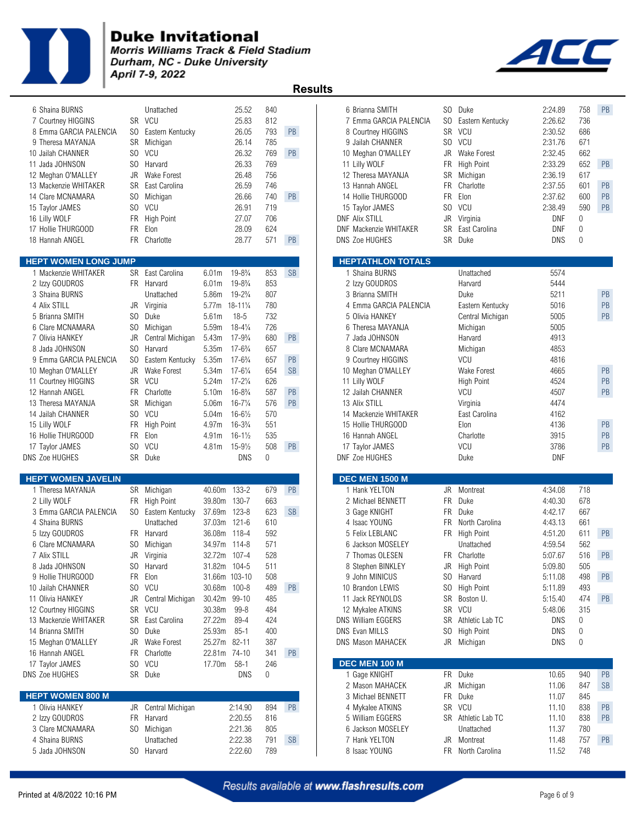

**Morris Williams Track & Field Stadium** Durham, NC - Duke University April 7-9, 2022

 **Results** 

| 6 Shaina BURNS<br>7 Courtney HIGGINS<br>8 Emma GARCIA PALENCIA<br>9 Theresa MAYANJA<br>0 Jailah CHANNER<br>1 Jada JOHNSON<br>2 Meghan O'MALLEY<br>3 Mackenzie WHITAKER<br>4 Clare MCNAMARA<br>5 Taylor JAMES<br>6 Lilly WOLF<br>7 Hollie THURGOOD<br>8 Hannah ANGEL                                                                                         | SO                                   | Unattached<br>SR VCU<br>SO Eastern Kentucky<br>SR Michigan<br>SO VCU<br>SO Harvard<br>JR Wake Forest<br>SR East Carolina<br>Michigan<br>SO VCU<br>FR High Point<br>FR Elon<br>FR Charlotte                                                            |                                                                                                                                                                                                                                             | 25.52<br>25.83<br>26.05<br>26.14<br>26.32<br>26.33<br>26.48<br>26.59<br>26.66<br>26.91<br>27.07<br>28.09<br>28.77                                                                                                                                                                                                                                                        | 840<br>812<br>793<br>785<br>769<br>769<br>756<br>746<br>740<br>719<br>706<br>624<br>571                                  | PB<br>PB<br>PB<br>PB                                 | 6 Brianna SMITH<br>7 Emma GARCIA PALENCIA<br>8 Courtney HIGGINS<br>9 Jailah CHANNER<br>10 Meghan O'MALLEY<br>11 Lilly WOLF<br>12 Theresa MAYANJA<br>13 Hannah ANGEL<br>14 Hollie THURGOOD<br>15 Taylor JAMES<br><b>DNF Alix STILL</b><br><b>DNF Mackenzie WHITAKER</b><br><b>DNS Zoe HUGHES</b>                                                                              | SO.<br>JR<br>FR<br>SR<br>FR.<br><b>FR</b><br>SO.<br>JR<br>SR | Duke<br>SO Eastern Kentucky<br>SR VCU<br>SO VCU<br><b>Wake Forest</b><br><b>High Point</b><br>Michigan<br>Charlotte<br>Elon<br>VCU<br>Virginia<br>East Carolina<br>SR Duke                                                  | 2:24.89<br>2:26.62<br>2:30.52<br>2:31.76<br>2:32.45<br>2:33.29<br>2:36.19<br>2:37.55<br>2:37.62<br>2:38.49<br>DNF<br><b>DNF</b><br>DNS                       | 758<br>736<br>686<br>671<br>662<br>652<br>617<br>601<br>600<br>590<br>0<br>0<br>$\mathbf{0}$    | PB<br>PB<br><b>PB</b><br>PB<br>PB                                       |
|-------------------------------------------------------------------------------------------------------------------------------------------------------------------------------------------------------------------------------------------------------------------------------------------------------------------------------------------------------------|--------------------------------------|-------------------------------------------------------------------------------------------------------------------------------------------------------------------------------------------------------------------------------------------------------|---------------------------------------------------------------------------------------------------------------------------------------------------------------------------------------------------------------------------------------------|--------------------------------------------------------------------------------------------------------------------------------------------------------------------------------------------------------------------------------------------------------------------------------------------------------------------------------------------------------------------------|--------------------------------------------------------------------------------------------------------------------------|------------------------------------------------------|------------------------------------------------------------------------------------------------------------------------------------------------------------------------------------------------------------------------------------------------------------------------------------------------------------------------------------------------------------------------------|--------------------------------------------------------------|-----------------------------------------------------------------------------------------------------------------------------------------------------------------------------------------------------------------------------|--------------------------------------------------------------------------------------------------------------------------------------------------------------|-------------------------------------------------------------------------------------------------|-------------------------------------------------------------------------|
| <b>EPT WOMEN LONG JUMP</b>                                                                                                                                                                                                                                                                                                                                  |                                      |                                                                                                                                                                                                                                                       |                                                                                                                                                                                                                                             |                                                                                                                                                                                                                                                                                                                                                                          |                                                                                                                          |                                                      | <b>HEPTATHLON TOTALS</b>                                                                                                                                                                                                                                                                                                                                                     |                                                              |                                                                                                                                                                                                                             |                                                                                                                                                              |                                                                                                 |                                                                         |
| 1 Mackenzie WHITAKER<br>2 Izzy GOUDROS<br>3 Shaina BURNS<br>4 Alix STILL<br>5 Brianna SMITH<br>6 Clare MCNAMARA<br>7 Olivia HANKEY<br>8 Jada JOHNSON<br>9 Emma GARCIA PALENCIA<br>0 Meghan O'MALLEY<br>1 Courtney HIGGINS<br>2 Hannah ANGEL<br>3 Theresa MAYANJA<br>4 Jailah CHANNER<br>5 Lilly WOLF<br>6 Hollie THURGOOD<br>7 Taylor JAMES<br>S Zoe HUGHES | JR<br>SO.<br>JR<br>SO.<br>SO.<br>SO. | SR East Carolina<br>FR Harvard<br>Unattached<br>Virginia<br>Duke<br>SO Michigan<br>Central Michigan<br>Harvard<br>Eastern Kentucky<br>JR Wake Forest<br>SR VCU<br>FR Charlotte<br>SR Michigan<br>SO VCU<br>FR High Point<br>FR Elon<br>VCU<br>SR Duke | 6.01m<br>6.01m<br>5.86m<br>5.77m 18-111/4<br>5.61m<br>5.59m<br>5.43m<br>5.35m<br>5.35m<br>5.34m<br>5.24m<br>5.10m<br>5.06m<br>5.04m<br>4.97m<br>4.91m<br>4.81m                                                                              | $19 - 8\frac{3}{4}$<br>$19 - 8\frac{3}{4}$<br>$19 - 2\frac{3}{4}$<br>$18 - 5$<br>$18 - 4\frac{1}{4}$<br>$17 - 9\frac{3}{4}$<br>$17 - 6\frac{3}{4}$<br>$17 - 6\frac{3}{4}$<br>$17 - 6\frac{1}{4}$<br>$17 - 2\frac{1}{4}$<br>$16 - 8\frac{3}{4}$<br>$16 - 7\frac{1}{4}$<br>$16 - 6\frac{1}{2}$<br>$16 - 3\frac{3}{4}$<br>$16 - 1\frac{1}{2}$<br>$15 - 9\frac{1}{2}$<br>DNS | 853<br>853<br>807<br>780<br>732<br>726<br>680<br>657<br>657<br>654<br>626<br>587<br>576<br>570<br>551<br>535<br>508<br>0 | <b>SB</b><br>PB<br>PB<br><b>SB</b><br>PB<br>PB<br>PB | 1 Shaina BURNS<br>2 Izzy GOUDROS<br>3 Brianna SMITH<br>4 Emma GARCIA PALENCIA<br>5 Olivia HANKEY<br>6 Theresa MAYANJA<br>7 Jada JOHNSON<br>8 Clare MCNAMARA<br>9 Courtney HIGGINS<br>10 Meghan O'MALLEY<br>11 Lilly WOLF<br>12 Jailah CHANNER<br>13 Alix STILL<br>14 Mackenzie WHITAKER<br>15 Hollie THURGOOD<br>16 Hannah ANGEL<br>17 Taylor JAMES<br><b>DNF Zoe HUGHES</b> |                                                              | Unattached<br>Harvard<br>Duke<br>Eastern Kentucky<br>Central Michigan<br>Michigan<br>Harvard<br>Michigan<br>VCU<br><b>Wake Forest</b><br>High Point<br>VCU<br>Virginia<br>East Carolina<br>Elon<br>Charlotte<br>VCU<br>Duke | 5574<br>5444<br>5211<br>5016<br>5005<br>5005<br>4913<br>4853<br>4816<br>4665<br>4524<br>4507<br>4474<br>4162<br>4136<br>3915<br>3786<br><b>DNF</b>           |                                                                                                 | <b>PB</b><br><b>PB</b><br>PB<br>PB<br>PB<br><b>PB</b><br>PB<br>PB<br>PB |
| EPT WOMEN JAVELIN<br>1 Theresa MAYANJA<br>2 Lilly WOLF<br>3 Emma GARCIA PALENCIA<br>4 Shaina BURNS<br>5 Izzy GOUDROS<br>6 Clare MCNAMARA<br>7 Alix STILL<br>8 Jada JOHNSON<br>9 Hollie THURGOOD<br>0 Jailah CHANNER<br>1 Olivia HANKEY<br>2 Courtney HIGGINS<br>3 Mackenzie WHITAKER<br>4 Brianna SMITH<br>5 Meghan O'MALLEY<br>6 Hannah ANGEL              | JR<br>JR                             | SR Michigan<br>FR High Point<br>SO Eastern Kentucky<br>Unattached<br>FR Harvard<br>SO Michigan<br>JR Virginia<br>SO Harvard<br>FR Elon<br>SO VCU<br>Central Michigan<br>SR VCU<br>SR East Carolina<br>SO Duke<br>Wake Forest<br>FR Charlotte          | 40.60m 133-2<br>39.80m 130-7<br>37.69m 123-8<br>37.03m 121-6<br>36.08m 118-4<br>34.97m 114-8<br>32.72m 107-4<br>31.82m 104-5<br>31.66m 103-10<br>30.68m 100-8<br>30.42m 99-10<br>30.38m<br>27.22m<br>25.93m<br>25.27m 82-11<br>22.81m 74-10 | $99 - 8$<br>89-4<br>$85-1$                                                                                                                                                                                                                                                                                                                                               | 679<br>663<br>623<br>610<br>592<br>571<br>528<br>511<br>508<br>489<br>485<br>484<br>424<br>400<br>387<br>341             | PB<br><b>SB</b><br><b>PB</b><br>PB                   | <b>DEC MEN 1500 M</b><br>1 Hank YELTON<br>2 Michael BENNETT<br>3 Gage KNIGHT<br>4 Isaac YOUNG<br>5 Felix LEBLANC<br>6 Jackson MOSELEY<br>7 Thomas OLESEN<br>8 Stephen BINKLEY<br>9 John MINICUS<br>10 Brandon LEWIS<br>11 Jack REYNOLDS<br>12 Mykalee ATKINS<br>DNS William EGGERS<br>DNS Evan MILLS<br><b>DNS Mason MAHACEK</b>                                             | JR<br><b>FR</b><br><b>FR</b><br>FR.<br>SR<br>SO.<br>JR       | Montreat<br>Duke<br>Duke<br>North Carolina<br>FR High Point<br>Unattached<br>FR Charlotte<br>JR High Point<br>SO Harvard<br>SO High Point<br>SR Boston U.<br>SR VCU<br>Athletic Lab TC<br><b>High Point</b><br>Michigan     | 4:34.08<br>4:40.30<br>4:42.17<br>4:43.13<br>4:51.20<br>4:59.54<br>5:07.67<br>5:09.80<br>5:11.08<br>5:11.89<br>5:15.40<br>5:48.06<br>DNS<br><b>DNS</b><br>DNS | 718<br>678<br>667<br>661<br>611<br>562<br>516<br>505<br>498<br>493<br>474<br>315<br>0<br>0<br>0 | PB<br>PB<br>PB<br><b>PB</b>                                             |
| 7 Taylor JAMES<br>S Zoe HUGHES<br><b>EPT WOMEN 800 M</b><br>1 Olivia HANKEY<br>2 Izzy GOUDROS<br>3 Clare MCNAMARA<br>4 Shaina BURNS<br>5 Jada JOHNSON                                                                                                                                                                                                       |                                      | SO VCU<br>SR Duke<br>JR Central Michigan<br>FR Harvard<br>SO Michigan<br>Unattached<br>SO Harvard                                                                                                                                                     | 17.70m                                                                                                                                                                                                                                      | $58-1$<br>DNS<br>2:14.90<br>2:20.55<br>2:21.36<br>2:22.38<br>2:22.60                                                                                                                                                                                                                                                                                                     | 246<br>0<br>894<br>816<br>805<br>791<br>789                                                                              | PB<br><b>SB</b>                                      | DEC MEN 100 M<br>1 Gage KNIGHT<br>2 Mason MAHACEK<br>3 Michael BENNETT<br>4 Mykalee ATKINS<br>5 William EGGERS<br>6 Jackson MOSELEY<br>7 Hank YELTON<br>8 Isaac YOUNG                                                                                                                                                                                                        | JR                                                           | FR Duke<br>Michigan<br>FR Duke<br>SR VCU<br>SR Athletic Lab TC<br>Unattached<br>JR Montreat<br>FR North Carolina                                                                                                            | 10.65<br>11.06<br>11.07<br>11.10<br>11.10<br>11.37<br>11.48<br>11.52                                                                                         | 940<br>847<br>845<br>838<br>838<br>780<br>757<br>748                                            | PB<br><b>SB</b><br>PB<br><b>PB</b><br><b>PB</b>                         |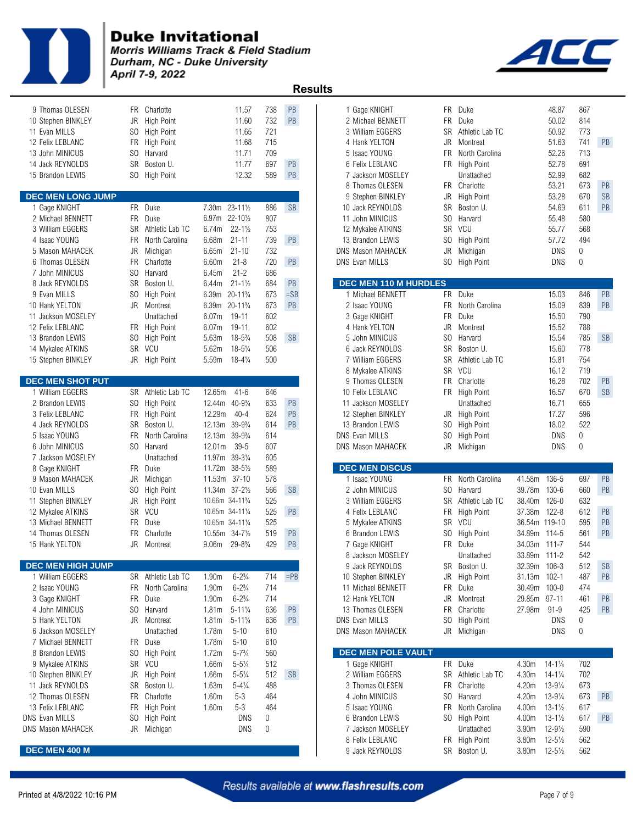

Morris Williams Track & Field Stadium Durham, NC - Duke University April 7-9, 2022



| 9 Thomas OLESEN          |                | FR Charlotte       |                                          | 11.57                             | 738 | PB        | 1 Gage KNIGHT            |           | FR Duke            |              | 48.87               | 867         |           |
|--------------------------|----------------|--------------------|------------------------------------------|-----------------------------------|-----|-----------|--------------------------|-----------|--------------------|--------------|---------------------|-------------|-----------|
| 10 Stephen BINKLEY       | JR             | High Point         |                                          | 11.60                             | 732 | PB        | 2 Michael BENNETT        | <b>FR</b> | Duke               |              | 50.02               | 814         |           |
| 11 Evan MILLS            | SO.            | <b>High Point</b>  |                                          | 11.65                             | 721 |           | 3 William EGGERS         | <b>SR</b> | Athletic Lab TC    |              | 50.92               | 773         |           |
| 12 Felix LEBLANC         | FR.            | <b>High Point</b>  |                                          | 11.68                             | 715 |           | 4 Hank YELTON            | JR        | Montreat           |              | 51.63               | 741         | PB        |
| 13 John MINICUS          | SO.            | Harvard            |                                          | 11.71                             | 709 |           | 5 Isaac YOUNG            | FR.       | North Carolina     |              | 52.26               | 713         |           |
| 14 Jack REYNOLDS         | <b>SR</b>      | Boston U.          |                                          | 11.77                             | 697 | PB        | 6 Felix LEBLANC          |           | FR High Point      |              | 52.78               | 691         |           |
| 15 Brandon LEWIS         | SO.            | <b>High Point</b>  |                                          | 12.32                             | 589 | <b>PB</b> | 7 Jackson MOSELEY        |           | Unattached         |              | 52.99               | 682         |           |
|                          |                |                    |                                          |                                   |     |           | 8 Thomas OLESEN          |           | FR Charlotte       |              | 53.21               | 673         | PB        |
| <b>DEC MEN LONG JUMP</b> |                |                    |                                          |                                   |     |           | 9 Stephen BINKLEY        | JR        | <b>High Point</b>  |              | 53.28               | 670         | <b>SB</b> |
| 1 Gage KNIGHT            |                | FR Duke            | 7.30 <sub>m</sub>                        | $23 - 11\frac{1}{2}$              | 886 | <b>SB</b> | 10 Jack REYNOLDS         | <b>SR</b> | Boston U.          |              | 54.69               | 611         | PB        |
| 2 Michael BENNETT        | <b>FR</b>      | Duke               | 6.97m 22-101/2                           |                                   | 807 |           | 11 John MINICUS          | SO.       | Harvard            |              | 55.48               | 580         |           |
| 3 William EGGERS         |                | SR Athletic Lab TC | 6.74m                                    | $22 - 1\frac{1}{2}$               | 753 |           | 12 Mykalee ATKINS        |           | SR VCU             |              | 55.77               | 568         |           |
| 4 Isaac YOUNG            | FR.            | North Carolina     | 6.68m                                    | $21 - 11$                         | 739 | PB        | 13 Brandon LEWIS         | SO.       | <b>High Point</b>  |              | 57.72               | 494         |           |
| 5 Mason MAHACEK          | JR             | Michigan           | 6.65m                                    | $21 - 10$                         | 732 |           | <b>DNS Mason MAHACEK</b> | JR        | Michigan           |              | <b>DNS</b>          | $\mathbf 0$ |           |
| 6 Thomas OLESEN          | <b>FR</b>      | Charlotte          | 6.60m                                    | $21 - 8$                          | 720 | PB        | DNS Evan MILLS           |           | SO High Point      |              | DNS                 | $\mathbf 0$ |           |
| 7 John MINICUS           | SO.            | Harvard            | 6.45m                                    | $21 - 2$                          | 686 |           |                          |           |                    |              |                     |             |           |
| 8 Jack REYNOLDS          | <b>SR</b>      | Boston U.          | 6.44m                                    | $21 - 1\frac{1}{2}$               | 684 | PB        | DEC MEN 110 M HURDLES    |           |                    |              |                     |             |           |
| 9 Evan MILLS             | SO.            | <b>High Point</b>  | 6.39m                                    | $20 - 11\frac{3}{4}$              | 673 | $=$ SB    | 1 Michael BENNETT        |           | FR Duke            |              | 15.03               | 846         | PB        |
| 10 Hank YELTON           |                | JR Montreat        | 6.39m                                    | 20-11 <sup>3</sup> / <sub>4</sub> | 673 | PB        | 2 Isaac YOUNG            | FR.       | North Carolina     |              | 15.09               | 839         | PB        |
| 11 Jackson MOSELEY       |                | Unattached         | 6.07 <sub>m</sub>                        | 19-11                             | 602 |           | 3 Gage KNIGHT            | FR.       | Duke               |              | 15.50               | 790         |           |
| 12 Felix LEBLANC         |                | FR High Point      | 6.07m                                    | $19 - 11$                         | 602 |           | 4 Hank YELTON            | JR        | Montreat           |              | 15.52               | 788         |           |
| 13 Brandon LEWIS         | SO.            | <b>High Point</b>  | 5.63m                                    | $18 - 5\frac{3}{4}$               | 508 | <b>SB</b> | 5 John MINICUS           | SO.       | Harvard            |              | 15.54               | 785         | <b>SB</b> |
| 14 Mykalee ATKINS        |                | SR VCU             | 5.62m                                    | $18 - 5\frac{1}{4}$               | 506 |           | 6 Jack REYNOLDS          | <b>SR</b> | Boston U.          |              | 15.60               | 778         |           |
| 15 Stephen BINKLEY       |                | JR High Point      | 5.59m                                    | $18 - 4\frac{1}{4}$               | 500 |           | 7 William EGGERS         | SR        | Athletic Lab TC    |              | 15.81               | 754         |           |
|                          |                |                    |                                          |                                   |     |           | 8 Mykalee ATKINS         | <b>SR</b> | VCU                |              | 16.12               | 719         |           |
| <b>DEC MEN SHOT PUT</b>  |                |                    |                                          |                                   |     |           | 9 Thomas OLESEN          | <b>FR</b> | Charlotte          |              | 16.28               | 702         | PB        |
| 1 William EGGERS         |                | SR Athletic Lab TC | 12.65m                                   | $41 - 6$                          | 646 |           | 10 Felix LEBLANC         |           | FR High Point      |              | 16.57               | 670         | <b>SB</b> |
| 2 Brandon LEWIS          | SO.            | <b>High Point</b>  | 12.44m                                   | $40 - 9\frac{3}{4}$               | 633 | PB        | 11 Jackson MOSELEY       |           | Unattached         |              | 16.71               | 655         |           |
| 3 Felix LEBLANC          | FR             | <b>High Point</b>  | 12.29m                                   | $40 - 4$                          | 624 | PB        | 12 Stephen BINKLEY       |           | JR High Point      |              | 17.27               | 596         |           |
| 4 Jack REYNOLDS          | <b>SR</b>      | Boston U.          | 12.13m                                   | $39 - 9\frac{3}{4}$               | 614 | PB        | 13 Brandon LEWIS         | SO.       | <b>High Point</b>  |              | 18.02               | 522         |           |
| 5 Isaac YOUNG            | FR.            | North Carolina     | 12.13m                                   | $39 - 9\frac{3}{4}$               | 614 |           | <b>DNS Evan MILLS</b>    | SO.       | <b>High Point</b>  |              | <b>DNS</b>          | $\mathbf 0$ |           |
| 6 John MINICUS           | S <sub>0</sub> | Harvard            | 12.01m                                   | $39 - 5$                          | 607 |           | DNS Mason MAHACEK        |           | JR Michigan        |              | <b>DNS</b>          | $\Omega$    |           |
| 7 Jackson MOSELEY        |                | Unattached         | 11.97m                                   | $39 - 3\frac{1}{4}$               | 605 |           |                          |           |                    |              |                     |             |           |
| 8 Gage KNIGHT            | <b>FR</b>      | Duke               | 11.72m                                   | $38 - 5\frac{1}{2}$               | 589 |           | <b>DEC MEN DISCUS</b>    |           |                    |              |                     |             |           |
| 9 Mason MAHACEK          | JR             | Michigan           | 11.53m 37-10                             |                                   | 578 |           | 1 Isaac YOUNG            |           | FR North Carolina  | 41.58m 136-5 |                     | 697         | PB        |
| 10 Evan MILLS            | SO.            | <b>High Point</b>  | 11.34m 37-21/2                           |                                   | 566 | <b>SB</b> | 2 John MINICUS           | SO.       | Harvard            | 39.78m       | 130-6               | 660         | PB        |
| 11 Stephen BINKLEY       | <b>JR</b>      | <b>High Point</b>  | 10.66m 34-11 <sup>3</sup> / <sub>4</sub> |                                   | 525 |           | 3 William EGGERS         | SR        | Athletic Lab TC    | 38.40m       | $126 - 0$           | 632         |           |
| 12 Mykalee ATKINS        | <b>SR</b>      | VCU                | 10.65m 34-111/4                          |                                   | 525 | <b>PB</b> | 4 Felix LEBLANC          | FR        | <b>High Point</b>  | 37.38m       | $122 - 8$           | 612         | PB        |
| 13 Michael BENNETT       |                | FR Duke            | 10.65m 34-111/4                          |                                   | 525 |           | 5 Mykalee ATKINS         |           | SR VCU             |              | 36.54m 119-10       | 595         | PB        |
| 14 Thomas OLESEN         | <b>FR</b>      | Charlotte          | 10.55m                                   | $34 - 7\frac{1}{2}$               | 519 | <b>PB</b> | 6 Brandon LEWIS          | SO.       | <b>High Point</b>  | 34.89m       | 114-5               | 561         | PB        |
| 15 Hank YELTON           | JR.            | Montreat           | 9.06 <sub>m</sub>                        | $29 - 8\frac{3}{4}$               | 429 | PB        | 7 Gage KNIGHT            | FR.       | Duke               | 34.03m       | $111 - 7$           | 544         |           |
|                          |                |                    |                                          |                                   |     |           | 8 Jackson MOSELEY        |           | Unattached         | 33.89m 111-2 |                     | 542         |           |
| <b>DEC MEN HIGH JUMP</b> |                |                    |                                          |                                   |     |           | 9 Jack REYNOLDS          |           | SR Boston U.       | 32.39m 106-3 |                     | 512         | <b>SB</b> |
| 1 William EGGERS         |                | SR Athletic Lab TC | 1.90 <sub>m</sub>                        | $6 - 2\frac{3}{4}$                | 714 | $=$ PB    | 10 Stephen BINKLEY       | JR        | <b>High Point</b>  | 31.13m       | $102 - 1$           | 487         | PB        |
| 2 Isaac YOUNG            |                | FR North Carolina  | 1.90m                                    | $6 - 2\frac{3}{4}$                | 714 |           | 11 Michael BENNETT       | FR        | Duke               | 30.49m       | $100 - 0$           | 474         |           |
| 3 Gage KNIGHT            | FR.            | Duke               | 1.90m                                    | $6 - 2\frac{3}{4}$                | 714 |           | 12 Hank YELTON           |           | JR Montreat        | 29.85m       | $97 - 11$           | 461         | PB        |
| 4 John MINICUS           | SO.            | Harvard            | 1.81m                                    | $5 - 11\frac{1}{4}$               | 636 | PB        | 13 Thomas OLESEN         |           | FR Charlotte       | 27.98m       | 91-9                | 425         | PB        |
| 5 Hank YELTON            |                | JR Montreat        | 1.81 <sub>m</sub>                        | $5 - 11\frac{1}{4}$               | 636 | <b>PB</b> | <b>DNS Evan MILLS</b>    |           | SO High Point      |              | <b>DNS</b>          | 0           |           |
| 6 Jackson MOSELEY        |                | Unattached         | 1.78m                                    | $5 - 10$                          | 610 |           | DNS Mason MAHACEK        |           | JR Michigan        |              | DNS                 | 0           |           |
| 7 Michael BENNETT        |                | FR Duke            | 1.78m                                    | $5 - 10$                          | 610 |           |                          |           |                    |              |                     |             |           |
| 8 Brandon LEWIS          |                | SO High Point      | 1.72m                                    | $5 - 7\frac{3}{4}$                | 560 |           | DEC MEN POLE VAULT       |           |                    |              |                     |             |           |
| 9 Mykalee ATKINS         |                | SR VCU             | 1.66m                                    | $5 - 5\frac{1}{4}$                | 512 |           | 1 Gage KNIGHT            |           | FR Duke            | 4.30m        | $14 - 1\frac{1}{4}$ | 702         |           |
| 10 Stephen BINKLEY       | JR             | <b>High Point</b>  | 1.66m                                    | $5 - 5\frac{1}{4}$                | 512 | <b>SB</b> | 2 William EGGERS         |           | SR Athletic Lab TC | 4.30m        | $14 - 1\frac{1}{4}$ | 702         |           |
| 11 Jack REYNOLDS         |                | SR Boston U.       | 1.63m                                    | $5 - 4\frac{1}{4}$                | 488 |           | 3 Thomas OLESEN          |           | FR Charlotte       | 4.20m        | $13 - 9\frac{1}{4}$ | 673         |           |
| 12 Thomas OLESEN         | FR             | Charlotte          | 1.60m                                    | $5 - 3$                           | 464 |           | 4 John MINICUS           |           | SO Harvard         | 4.20m        | $13 - 9\frac{1}{4}$ | 673         | PB        |
| 13 Felix LEBLANC         | <b>FR</b>      | <b>High Point</b>  | 1.60m                                    | $5 - 3$                           | 464 |           | 5 Isaac YOUNG            | FR        | North Carolina     | 4.00m        | $13 - 1\frac{1}{2}$ | 617         |           |
| DNS Evan MILLS           | S <sub>0</sub> | <b>High Point</b>  |                                          | DNS                               | 0   |           | 6 Brandon LEWIS          |           | SO High Point      | 4.00m        | $13 - 1\frac{1}{2}$ | 617         | PB        |
| <b>DNS Mason MAHACEK</b> |                | JR Michigan        |                                          | <b>DNS</b>                        | 0   |           | 7 Jackson MOSELEY        |           | Unattached         | 3.90m        | $12 - 9\frac{1}{2}$ | 590         |           |
|                          |                |                    |                                          |                                   |     |           | 8 Felix LEBLANC          |           | FR High Point      | 3.80m        | $12 - 5\frac{1}{2}$ | 562         |           |
| DEC MEN 400 M            |                |                    |                                          |                                   |     |           | 9 Jack REYNOLDS          |           | SR Boston U.       | 3.80m        | $12 - 5\frac{1}{2}$ | 562         |           |

|                          |                |                         |                                          |                      |     |           | .                                      |                |                    |               |                     |              |           |
|--------------------------|----------------|-------------------------|------------------------------------------|----------------------|-----|-----------|----------------------------------------|----------------|--------------------|---------------|---------------------|--------------|-----------|
| 9 Thomas OLESEN          | FR.            | Charlotte               |                                          | 11.57                | 738 | <b>PB</b> | 1 Gage KNIGHT                          | FR.            | Duke               |               | 48.87               | 867          |           |
| 10 Stephen BINKLEY       | JR             | <b>High Point</b>       |                                          | 11.60                | 732 | <b>PB</b> | 2 Michael BENNETT                      | <b>FR</b>      | Duke               |               | 50.02               | 814          |           |
| 11 Evan MILLS            | SO.            | <b>High Point</b>       |                                          | 11.65                | 721 |           | 3 William EGGERS                       | SR             | Athletic Lab TC    |               | 50.92               | 773          |           |
| 12 Felix LEBLANC         | FR.            | <b>High Point</b>       |                                          | 11.68                | 715 |           | 4 Hank YELTON                          | JR             | Montreat           |               | 51.63               | 741          | <b>PB</b> |
| 13 John MINICUS          | SO.            | Harvard                 |                                          | 11.71                | 709 |           | 5 Isaac YOUNG                          | <b>FR</b>      | North Carolina     |               | 52.26               | 713          |           |
| 14 Jack REYNOLDS         | <b>SR</b>      | Boston U.               |                                          | 11.77                | 697 | PB        | 6 Felix LEBLANC                        | FR             | <b>High Point</b>  |               | 52.78               | 691          |           |
| 15 Brandon LEWIS         | SO.            | <b>High Point</b>       |                                          | 12.32                | 589 | <b>PB</b> | 7 Jackson MOSELEY                      |                | Unattached         |               | 52.99               | 682          |           |
|                          |                |                         |                                          |                      |     |           | 8 Thomas OLESEN                        |                | FR Charlotte       |               | 53.21               | 673          | <b>PB</b> |
| <b>DEC MEN LONG JUMP</b> |                |                         |                                          |                      |     |           | 9 Stephen BINKLEY                      | JR             | <b>High Point</b>  |               | 53.28               | 670          | <b>SB</b> |
| 1 Gage KNIGHT            |                | FR Duke                 |                                          | 7.30m 23-111/2       | 886 | <b>SB</b> | 10 Jack REYNOLDS                       | SR             | Boston U.          |               | 54.69               | 611          | <b>PB</b> |
| 2 Michael BENNETT        | FR.            | Duke                    |                                          | 6.97m 22-101/2       | 807 |           | 11 John MINICUS                        |                | SO Harvard         |               | 55.48               | 580          |           |
| 3 William EGGERS         | <b>SR</b>      | Athletic Lab TC         | 6.74m                                    | $22 - 1\frac{1}{2}$  | 753 |           | 12 Mykalee ATKINS                      | <b>SR</b>      | VCU                |               | 55.77               | 568          |           |
| 4 Isaac YOUNG            | FR             | North Carolina          | 6.68m                                    | $21 - 11$            | 739 | PB        | 13 Brandon LEWIS                       | SO.            | <b>High Point</b>  |               | 57.72               | 494          |           |
| 5 Mason MAHACEK          | JR             | Michigan                | 6.65m                                    | $21 - 10$            | 732 |           | <b>DNS Mason MAHACEK</b>               | JR             | Michigan           |               | <b>DNS</b>          | 0            |           |
| 6 Thomas OLESEN          | FR             | Charlotte               | 6.60m                                    | $21 - 8$             | 720 | PB        | DNS Evan MILLS                         |                | SO High Point      |               | DNS                 | $\mathbf{0}$ |           |
| 7 John MINICUS           | SO.            | Harvard                 | 6.45m                                    | $21 - 2$             | 686 |           |                                        |                |                    |               |                     |              |           |
| 8 Jack REYNOLDS          | <b>SR</b>      | Boston U.               | 6.44m                                    | $21 - 1\frac{1}{2}$  | 684 | PB        | DEC MEN 110 M HURDLES                  |                |                    |               |                     |              |           |
| 9 Evan MILLS             | SO.            | <b>High Point</b>       | 6.39m                                    | $20 - 11\frac{3}{4}$ | 673 | $=$ SB    | 1 Michael BENNETT                      |                | FR Duke            |               | 15.03               | 846          | PB        |
| 10 Hank YELTON           | JR             | Montreat                | 6.39m                                    | $20 - 11\frac{3}{4}$ | 673 | PB        | 2 Isaac YOUNG                          | FR.            | North Carolina     |               | 15.09               | 839          | PB        |
| 11 Jackson MOSELEY       |                | Unattached              | 6.07 <sub>m</sub>                        | 19-11                | 602 |           | 3 Gage KNIGHT                          | <b>FR</b>      | Duke               |               | 15.50               | 790          |           |
| 12 Felix LEBLANC         | FR             | High Point              | 6.07m                                    | $19 - 11$            | 602 |           | 4 Hank YELTON                          | JR             | Montreat           |               | 15.52               | 788          |           |
| 13 Brandon LEWIS         | SO.            | High Point              | 5.63m                                    | $18 - 5\frac{3}{4}$  | 508 | <b>SB</b> | 5 John MINICUS                         | SO.            | Harvard            |               | 15.54               | 785          | <b>SB</b> |
| 14 Mykalee ATKINS        |                | SR VCU                  | 5.62m                                    | $18 - 5\frac{1}{4}$  | 506 |           | 6 Jack REYNOLDS                        | <b>SR</b>      | Boston U.          |               | 15.60               | 778          |           |
|                          |                | JR High Point           | 5.59m                                    | $18 - 4\frac{1}{4}$  | 500 |           | 7 William EGGERS                       | SR             | Athletic Lab TC    |               | 15.81               | 754          |           |
| 15 Stephen BINKLEY       |                |                         |                                          |                      |     |           |                                        | <b>SR</b>      | <b>VCU</b>         |               | 16.12               | 719          |           |
| <b>DEC MEN SHOT PUT</b>  |                |                         |                                          |                      |     |           | 8 Mykalee ATKINS<br>9 Thomas OLESEN    | FR.            | Charlotte          |               | 16.28               | 702          | <b>PB</b> |
| 1 William EGGERS         |                | SR Athletic Lab TC      | 12.65m                                   | $41 - 6$             | 646 |           | 10 Felix LEBLANC                       |                | FR High Point      |               | 16.57               | 670          | <b>SB</b> |
| 2 Brandon LEWIS          | SO.            | <b>High Point</b>       | 12.44m                                   | $40 - 9\frac{3}{4}$  | 633 | PB        | 11 Jackson MOSELEY                     |                | Unattached         |               | 16.71               | 655          |           |
| 3 Felix LEBLANC          | FR             |                         | 12.29m                                   | $40 - 4$             | 624 | PB        |                                        |                | JR High Point      |               | 17.27               | 596          |           |
| 4 Jack REYNOLDS          | <b>SR</b>      | High Point<br>Boston U. | 12.13m                                   | $39 - 9\frac{3}{4}$  | 614 | <b>PB</b> | 12 Stephen BINKLEY<br>13 Brandon LEWIS |                | <b>High Point</b>  |               | 18.02               | 522          |           |
| 5 Isaac YOUNG            | <b>FR</b>      | North Carolina          | 12.13m                                   | $39 - 9\frac{3}{4}$  | 614 |           | DNS Evan MILLS                         | SO.<br>SO.     | <b>High Point</b>  |               | <b>DNS</b>          | 0            |           |
| 6 John MINICUS           | SO.            | Harvard                 | 12.01m                                   | $39 - 5$             | 607 |           | <b>DNS Mason MAHACEK</b>               |                | JR Michigan        |               | DNS                 | $\theta$     |           |
| 7 Jackson MOSELEY        |                | Unattached              | 11.97m                                   | $39 - 3\frac{1}{4}$  | 605 |           |                                        |                |                    |               |                     |              |           |
| 8 Gage KNIGHT            | FR.            | Duke                    | 11.72m                                   | $38 - 5\frac{1}{2}$  | 589 |           | <b>DEC MEN DISCUS</b>                  |                |                    |               |                     |              |           |
| 9 Mason MAHACEK          | JR             | Michigan                | 11.53m 37-10                             |                      | 578 |           | 1 Isaac YOUNG                          | FR.            | North Carolina     | 41.58m        | 136-5               | 697          | PB        |
| 10 Evan MILLS            | SO.            | High Point              | 11.34m                                   | $37 - 2\frac{1}{2}$  | 566 | <b>SB</b> | 2 John MINICUS                         | SO.            | Harvard            | 39.78m        | 130-6               | 660          | PB        |
| 11 Stephen BINKLEY       | JR             | High Point              | 10.66m 34-11 <sup>3</sup> / <sub>4</sub> |                      | 525 |           | 3 William EGGERS                       | <b>SR</b>      | Athletic Lab TC    | 38.40m        | $126 - 0$           | 632          |           |
| 12 Mykalee ATKINS        | SR             | VCU                     | 10.65m 34-111/4                          |                      | 525 | PB        | 4 Felix LEBLANC                        | FR             | <b>High Point</b>  | 37.38m        | 122-8               | 612          | PB        |
| 13 Michael BENNETT       | FR.            | Duke                    | 10.65m 34-111/4                          |                      | 525 |           | 5 Mykalee ATKINS                       | <b>SR</b>      | <b>VCU</b>         | 36.54m 119-10 |                     | 595          | PB        |
| 14 Thomas OLESEN         | FR.            | Charlotte               | 10.55m                                   | $34 - 7\frac{1}{2}$  | 519 | PB        | 6 Brandon LEWIS                        | SO.            | <b>High Point</b>  | 34.89m 114-5  |                     | 561          | <b>PB</b> |
| 15 Hank YELTON           | JR             | Montreat                | 9.06 <sub>m</sub>                        | $29 - 8\frac{3}{4}$  | 429 | <b>PB</b> | 7 Gage KNIGHT                          | <b>FR</b>      | Duke               | 34.03m 111-7  |                     | 544          |           |
|                          |                |                         |                                          |                      |     |           | 8 Jackson MOSELEY                      |                | Unattached         | 33.89m 111-2  |                     | 542          |           |
| <b>DEC MEN HIGH JUMP</b> |                |                         |                                          |                      |     |           | 9 Jack REYNOLDS                        |                | SR Boston U.       | 32.39m 106-3  |                     | 512          | <b>SB</b> |
| 1 William EGGERS         |                | SR Athletic Lab TC      | 1.90m                                    | $6 - 2\frac{3}{4}$   | 714 | $=$ PB    | 10 Stephen BINKLEY                     | JR             | <b>High Point</b>  | 31.13m        | $102 - 1$           | 487          | PB        |
| 2 Isaac YOUNG            | FR             | North Carolina          | 1.90m                                    | $6 - 2\frac{3}{4}$   | 714 |           | 11 Michael BENNETT                     | FR             | Duke               | 30.49m        | $100 - 0$           | 474          |           |
| 3 Gage KNIGHT            | <b>FR</b>      | Duke                    | 1.90m                                    | $6 - 2\frac{3}{4}$   | 714 |           | 12 Hank YELTON                         | JR             | Montreat           | 29.85m 97-11  |                     | 461          | <b>PB</b> |
| 4 John MINICUS           | SO.            | Harvard                 | 1.81 <sub>m</sub>                        | $5 - 11\frac{1}{4}$  | 636 | PB        | 13 Thomas OLESEN                       | <b>FR</b>      | Charlotte          | 27.98m        | $91 - 9$            | 425          | <b>PB</b> |
| 5 Hank YELTON            | JR             | Montreat                | 1.81 <sub>m</sub>                        | $5 - 11\frac{1}{4}$  | 636 | PB        | DNS Evan MILLS                         | S <sub>0</sub> | <b>High Point</b>  |               | <b>DNS</b>          | 0            |           |
| 6 Jackson MOSELEY        |                | Unattached              | 1.78m                                    | $5 - 10$             | 610 |           | DNS Mason MAHACEK                      |                | JR Michigan        |               | <b>DNS</b>          | $\mathbf 0$  |           |
| 7 Michael BENNETT        |                | FR Duke                 | 1.78m                                    | $5 - 10$             | 610 |           |                                        |                |                    |               |                     |              |           |
| 8 Brandon LEWIS          | S <sub>0</sub> | <b>High Point</b>       | 1.72m                                    | $5 - 7\frac{3}{4}$   | 560 |           | <b>DEC MEN POLE VAULT</b>              |                |                    |               |                     |              |           |
| 9 Mykalee ATKINS         | SR             | VCU                     | 1.66m                                    | $5 - 5\frac{1}{4}$   | 512 |           | 1 Gage KNIGHT                          |                | FR Duke            | 4.30m         | $14 - 1\frac{1}{4}$ | 702          |           |
| 10 Stephen BINKLEY       | JR             | <b>High Point</b>       | 1.66m                                    | $5 - 5\frac{1}{4}$   | 512 | <b>SB</b> | 2 William EGGERS                       |                | SR Athletic Lab TC | 4.30m         | $14 - 1\frac{1}{4}$ | 702          |           |
| 11 Jack REYNOLDS         | SR             | Boston U.               | 1.63m                                    | $5 - 4\frac{1}{4}$   | 488 |           | 3 Thomas OLESEN                        | FR             | Charlotte          | 4.20m         | $13 - 9\frac{1}{4}$ | 673          |           |
| 12 Thomas OLESEN         | FR             | Charlotte               | 1.60m                                    | $5 - 3$              | 464 |           | 4 John MINICUS                         | SO.            | Harvard            | 4.20m         | $13 - 9\frac{1}{4}$ | 673          | PB        |
| 13 Felix LEBLANC         | FR             | <b>High Point</b>       | 1.60m                                    | $5 - 3$              | 464 |           | 5 Isaac YOUNG                          | FR             | North Carolina     | 4.00m         | $13 - 1\frac{1}{2}$ | 617          |           |
| <b>VS Evan MILLS</b>     | SO.            | High Point              |                                          | <b>DNS</b>           | 0   |           | 6 Brandon LEWIS                        |                | SO High Point      | 4.00m         | $13 - 1\frac{1}{2}$ | 617          | <b>PB</b> |
| <b>VS Mason MAHACEK</b>  |                | JR Michigan             |                                          | DNS                  | 0   |           | 7 Jackson MOSELEY                      |                | Unattached         | 3.90m         | $12 - 9\frac{1}{2}$ | 590          |           |
|                          |                |                         |                                          |                      |     |           | 8 Felix LEBLANC                        |                | FR High Point      | 3.80m         | $12 - 5\frac{1}{2}$ | 562          |           |
| <b>DEC MEN 400 M</b>     |                |                         |                                          |                      |     |           | 9 Jack REYNOLDS                        |                | SR Boston U.       | 3.80m         | $12 - 5\frac{1}{2}$ | 562          |           |
|                          |                |                         |                                          |                      |     |           |                                        |                |                    |               |                     |              |           |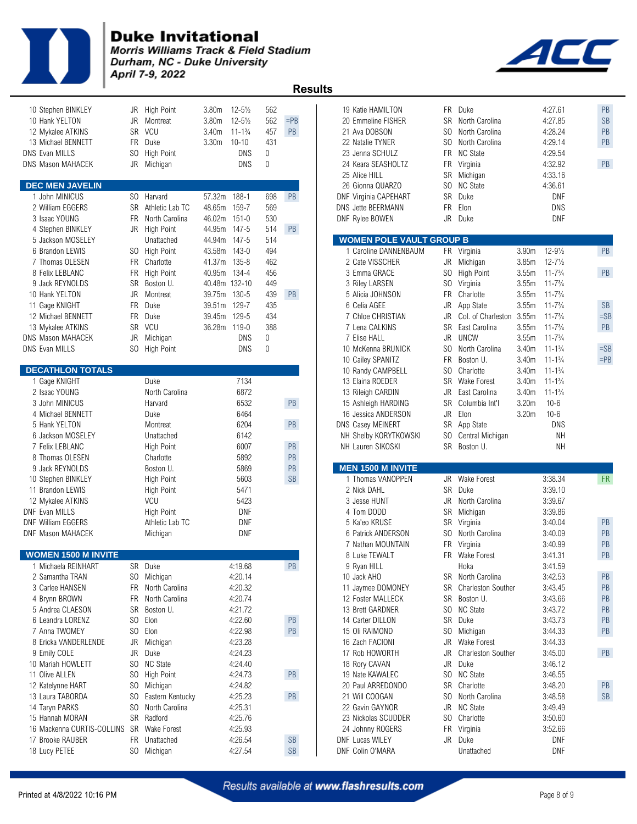

**Morris Williams Track & Field Stadium** Durham, NC - Duke University April 7-9, 2022

 **Results** 

| 10 Stephen BINKLEY<br>10 Hank YELTON<br>12 Mykalee ATKINS<br>13 Michael BENNETT<br><b>DNS Evan MILLS</b><br><b>DNS Mason MAHACEK</b> | JR<br>FR<br>SO.  | JR High Point<br>Montreat<br>SR VCU<br>Duke<br>High Point<br>JR Michigan | 3.80m<br>3.80m<br>3.40m<br>3.30 <sub>m</sub> | $12 - 5\frac{1}{2}$<br>$12 - 5\frac{1}{2}$<br>$11 - 1\frac{3}{4}$<br>$10 - 10$<br><b>DNS</b><br><b>DNS</b> | 562<br>562<br>457<br>431<br>$\boldsymbol{0}$<br>$\mathbf{0}$ | $=$ PB<br>PB               | 19 Katie HAMILTON<br>20 Emmeline FISHER<br>21 Ava DOBSON<br>22 Natalie TYNER<br>23 Jenna SCHULZ<br>24 Keara SEASHOLTZ<br>25 Alice HILL | SO.       | FR Duke<br>SR North Carolina<br>North Carolina<br>SO North Carolina<br>FR NC State<br>FR Virginia<br>SR Michigan |                | 4:27.61<br>4:27.85<br>4:28.24<br>4:29.14<br>4:29.54<br>4:32.92<br>4:33.16 | PB<br><b>SB</b><br>PB<br>PB<br>PB |
|--------------------------------------------------------------------------------------------------------------------------------------|------------------|--------------------------------------------------------------------------|----------------------------------------------|------------------------------------------------------------------------------------------------------------|--------------------------------------------------------------|----------------------------|----------------------------------------------------------------------------------------------------------------------------------------|-----------|------------------------------------------------------------------------------------------------------------------|----------------|---------------------------------------------------------------------------|-----------------------------------|
| <b>DEC MEN JAVELIN</b>                                                                                                               |                  |                                                                          |                                              |                                                                                                            |                                                              |                            | 26 Gionna QUARZO                                                                                                                       |           | SO NC State                                                                                                      |                | 4:36.61                                                                   |                                   |
| 1 John MINICUS                                                                                                                       |                  | SO Harvard                                                               | 57.32m 188-1                                 |                                                                                                            | 698                                                          | PB                         | DNF Virginia CAPEHART                                                                                                                  |           | SR Duke                                                                                                          |                | <b>DNF</b>                                                                |                                   |
| 2 William EGGERS                                                                                                                     |                  | SR Athletic Lab TC                                                       | 48.65m                                       | 159-7                                                                                                      | 569                                                          |                            | DNS Jette BEERMANN                                                                                                                     | <b>FR</b> | Elon                                                                                                             |                | <b>DNS</b>                                                                |                                   |
| 3 Isaac YOUNG                                                                                                                        | FR.              | North Carolina                                                           | 46.02m 151-0                                 |                                                                                                            | 530                                                          |                            | DNF Rylee BOWEN                                                                                                                        |           | JR Duke                                                                                                          |                | <b>DNF</b>                                                                |                                   |
| 4 Stephen BINKLEY                                                                                                                    |                  | JR High Point                                                            | 44.95m 147-5                                 |                                                                                                            | 514                                                          | PB                         |                                                                                                                                        |           |                                                                                                                  |                |                                                                           |                                   |
| 5 Jackson MOSELEY                                                                                                                    |                  | Unattached                                                               | 44.94m                                       | 147-5                                                                                                      | 514                                                          |                            | <b>WOMEN POLE VAULT GROUP B</b>                                                                                                        |           |                                                                                                                  |                |                                                                           |                                   |
| 6 Brandon LEWIS                                                                                                                      |                  | SO High Point                                                            | 43.58m                                       | $143 - 0$                                                                                                  | 494                                                          |                            | 1 Caroline DANNENBAUM                                                                                                                  |           | FR Virginia                                                                                                      | 3.90m          | $12 - 9\frac{1}{2}$                                                       | PB                                |
| 7 Thomas OLESEN                                                                                                                      |                  | FR Charlotte                                                             | 41.37m 135-8                                 |                                                                                                            | 462                                                          |                            | 2 Cate VISSCHER                                                                                                                        |           | JR Michigan                                                                                                      | 3.85m          | $12 - 7\frac{1}{2}$                                                       | PB                                |
| 8 Felix LEBLANC                                                                                                                      | FR.              | High Point                                                               | 40.95m                                       | 134-4                                                                                                      | 456                                                          |                            | 3 Emma GRACE                                                                                                                           |           | SO High Point                                                                                                    | 3.55m          | $11 - 7\frac{3}{4}$                                                       |                                   |
| 9 Jack REYNOLDS                                                                                                                      | SR               | Boston U.                                                                | 40.48m 132-10                                |                                                                                                            | 449                                                          |                            | 3 Riley LARSEN                                                                                                                         | SO.       | Virginia                                                                                                         | 3.55m          | $11 - 7\frac{3}{4}$                                                       |                                   |
| 10 Hank YELTON                                                                                                                       | JR               | Montreat                                                                 | 39.75m<br>39.51m 129-7                       | 130-5                                                                                                      | 439                                                          | PB                         | 5 Alicia JOHNSON                                                                                                                       | <b>FR</b> | Charlotte                                                                                                        | 3.55m          | $11 - 7\frac{3}{4}$<br>$11 - 7\frac{3}{4}$                                | <b>SB</b>                         |
| 11 Gage KNIGHT                                                                                                                       | FR.<br><b>FR</b> | Duke<br>Duke                                                             | 39.45m                                       | 129-5                                                                                                      | 435<br>434                                                   |                            | 6 Celia AGEE<br>7 Chloe CHRISTIAN                                                                                                      | JR        | JR App State                                                                                                     | 3.55m<br>3.55m | $11 - 7\frac{3}{4}$                                                       | $=$ SB                            |
| 12 Michael BENNETT                                                                                                                   |                  | VCU                                                                      | 36.28m 119-0                                 |                                                                                                            | 388                                                          |                            | 7 Lena CALKINS                                                                                                                         | SR        | Col. of Charleston                                                                                               | 3.55m          | $11 - 7\frac{3}{4}$                                                       | PB                                |
| 13 Mykalee ATKINS<br><b>DNS Mason MAHACEK</b>                                                                                        | SR<br>JR         | Michigan                                                                 |                                              | <b>DNS</b>                                                                                                 | $\mathbf 0$                                                  |                            | 7 Elise HALL                                                                                                                           | JR        | East Carolina<br><b>UNCW</b>                                                                                     | 3.55m          | $11 - 7\frac{3}{4}$                                                       |                                   |
| <b>DNS Evan MILLS</b>                                                                                                                |                  |                                                                          |                                              | <b>DNS</b>                                                                                                 | $\mathbf{0}$                                                 |                            | 10 McKenna BRUNICK                                                                                                                     | SO.       | North Carolina                                                                                                   | 3.40m          | $11 - 1\frac{3}{4}$                                                       | $=SB$                             |
|                                                                                                                                      |                  | SO High Point                                                            |                                              |                                                                                                            |                                                              |                            | 10 Cailey SPANITZ                                                                                                                      | <b>FR</b> | Boston U.                                                                                                        | 3.40m          | $11 - 1\frac{3}{4}$                                                       | $=$ PB                            |
| <b>DECATHLON TOTALS</b>                                                                                                              |                  |                                                                          |                                              |                                                                                                            |                                                              |                            | 10 Randy CAMPBELL                                                                                                                      | SO.       | Charlotte                                                                                                        | 3.40m          | $11 - 1\frac{3}{4}$                                                       |                                   |
| 1 Gage KNIGHT                                                                                                                        |                  | Duke                                                                     |                                              | 7134                                                                                                       |                                                              |                            | 13 Elaina ROEDER                                                                                                                       |           | SR Wake Forest                                                                                                   | 3.40m          | $11 - 1\frac{3}{4}$                                                       |                                   |
| 2 Isaac YOUNG                                                                                                                        |                  | North Carolina                                                           |                                              | 6872                                                                                                       |                                                              |                            | 13 Rileigh CARDIN                                                                                                                      |           | JR East Carolina                                                                                                 | 3.40m          | $11 - 1\frac{3}{4}$                                                       |                                   |
| 3 John MINICUS                                                                                                                       |                  | Harvard                                                                  |                                              | 6532                                                                                                       |                                                              | PB                         | 15 Ashleigh HARDING                                                                                                                    | <b>SR</b> | Columbia Int'l                                                                                                   | 3.20m          | $10 - 6$                                                                  |                                   |
| 4 Michael BENNETT                                                                                                                    |                  | Duke                                                                     |                                              | 6464                                                                                                       |                                                              |                            | 16 Jessica ANDERSON                                                                                                                    |           | JR Elon                                                                                                          | 3.20m          | $10 - 6$                                                                  |                                   |
| 5 Hank YELTON                                                                                                                        |                  | Montreat                                                                 |                                              | 6204                                                                                                       |                                                              | PB                         | <b>DNS Casey MEINERT</b>                                                                                                               |           | SR App State                                                                                                     |                | <b>DNS</b>                                                                |                                   |
| 6 Jackson MOSELEY                                                                                                                    |                  | Unattached                                                               |                                              | 6142                                                                                                       |                                                              |                            | NH Shelby KORYTKOWSKI                                                                                                                  |           | SO Central Michigan                                                                                              |                | <b>NH</b>                                                                 |                                   |
|                                                                                                                                      |                  |                                                                          |                                              |                                                                                                            |                                                              |                            | NH Lauren SIKOSKI                                                                                                                      |           | SR Boston U.                                                                                                     |                | <b>NH</b>                                                                 |                                   |
|                                                                                                                                      |                  |                                                                          |                                              |                                                                                                            |                                                              |                            |                                                                                                                                        |           |                                                                                                                  |                |                                                                           |                                   |
| 7 Felix LEBLANC                                                                                                                      |                  | High Point                                                               |                                              | 6007                                                                                                       |                                                              | PB                         |                                                                                                                                        |           |                                                                                                                  |                |                                                                           |                                   |
| 8 Thomas OLESEN                                                                                                                      |                  | Charlotte                                                                |                                              | 5892                                                                                                       |                                                              | PB                         |                                                                                                                                        |           |                                                                                                                  |                |                                                                           |                                   |
| 9 Jack REYNOLDS                                                                                                                      |                  | Boston U.                                                                |                                              | 5869                                                                                                       |                                                              | PB                         | <b>MEN 1500 M INVITE</b>                                                                                                               |           |                                                                                                                  |                |                                                                           |                                   |
| 10 Stephen BINKLEY                                                                                                                   |                  | <b>High Point</b>                                                        |                                              | 5603                                                                                                       |                                                              | SB                         | 1 Thomas VANOPPEN                                                                                                                      |           | JR Wake Forest                                                                                                   |                | 3:38.34                                                                   | <b>FR</b>                         |
| 11 Brandon LEWIS                                                                                                                     |                  | High Point                                                               |                                              | 5471                                                                                                       |                                                              |                            | 2 Nick DAHL                                                                                                                            |           | SR Duke                                                                                                          |                | 3:39.10                                                                   |                                   |
| 12 Mykalee ATKINS                                                                                                                    |                  | VCU                                                                      |                                              | 5423                                                                                                       |                                                              |                            | 3 Jesse HUNT                                                                                                                           | JR        | North Carolina                                                                                                   |                | 3:39.67                                                                   |                                   |
| <b>DNF Evan MILLS</b><br><b>DNF William EGGERS</b>                                                                                   |                  | <b>High Point</b><br>Athletic Lab TC                                     |                                              | DNF<br><b>DNF</b>                                                                                          |                                                              |                            | 4 Tom DODD<br>5 Ka'eo KRUSE                                                                                                            |           | SR Michigan                                                                                                      |                | 3:39.86<br>3:40.04                                                        | PB                                |
| <b>DNF Mason MAHACEK</b>                                                                                                             |                  | Michigan                                                                 |                                              | <b>DNF</b>                                                                                                 |                                                              |                            | 6 Patrick ANDERSON                                                                                                                     | SO.       | SR Virginia<br>North Carolina                                                                                    |                | 3:40.09                                                                   | PB                                |
|                                                                                                                                      |                  |                                                                          |                                              |                                                                                                            |                                                              |                            | 7 Nathan MOUNTAIN                                                                                                                      | <b>FR</b> | Virginia                                                                                                         |                | 3:40.99                                                                   | PB                                |
| <b>WOMEN 1500 M INVITE</b>                                                                                                           |                  |                                                                          |                                              |                                                                                                            |                                                              |                            | 8 Luke TEWALT                                                                                                                          |           | FR Wake Forest                                                                                                   |                | 3:41.31                                                                   | PB                                |
| 1 Michaela REINHART                                                                                                                  |                  | SR Duke                                                                  |                                              | 4:19.68                                                                                                    |                                                              | PB                         | 9 Ryan HILL                                                                                                                            |           | Hoka                                                                                                             |                | 3:41.59                                                                   |                                   |
| 2 Samantha TRAN                                                                                                                      |                  | SO Michigan                                                              |                                              | 4:20.14                                                                                                    |                                                              |                            | 10 Jack AHO                                                                                                                            |           | SR North Carolina                                                                                                |                | 3:42.53                                                                   | PB                                |
| 3 Carlee HANSEN                                                                                                                      |                  | FR North Carolina                                                        |                                              | 4:20.32                                                                                                    |                                                              |                            | 11 Jaymee DOMONEY                                                                                                                      |           | SR Charleston Souther                                                                                            |                | 3:43.45                                                                   | $\mathsf{PB}$                     |
| 4 Brynn BROWN                                                                                                                        |                  | FR North Carolina                                                        |                                              | 4:20.74                                                                                                    |                                                              |                            | 12 Foster MALLECK                                                                                                                      |           | SR Boston U.                                                                                                     |                | 3:43.66                                                                   | PB                                |
| 5 Andrea CLAESON                                                                                                                     | SR               | Boston U.                                                                |                                              | 4:21.72                                                                                                    |                                                              |                            | 13 Brett GARDNER                                                                                                                       |           | SO NC State                                                                                                      |                | 3:43.72                                                                   | PB                                |
| 6 Leandra LORENZ                                                                                                                     | SO.              | Elon                                                                     |                                              | 4:22.60                                                                                                    |                                                              | PB                         | 14 Carter DILLON                                                                                                                       |           | SR Duke                                                                                                          |                | 3:43.73                                                                   | PB                                |
| 7 Anna TWOMEY                                                                                                                        |                  | SO Elon                                                                  |                                              | 4:22.98                                                                                                    |                                                              | PB                         | 15 Oli RAIMOND                                                                                                                         |           | SO Michigan                                                                                                      |                | 3:44.33                                                                   | PB                                |
| 8 Ericka VANDERLENDE                                                                                                                 | JR               | Michigan                                                                 |                                              | 4:23.28                                                                                                    |                                                              |                            | 16 Zach FACIONI                                                                                                                        |           | JR Wake Forest                                                                                                   |                | 3:44.33                                                                   |                                   |
| 9 Emily COLE                                                                                                                         | JR               | Duke                                                                     |                                              | 4:24.23                                                                                                    |                                                              |                            | 17 Rob HOWORTH                                                                                                                         | JR        | <b>Charleston Souther</b>                                                                                        |                | 3:45.00                                                                   | PB                                |
| 10 Mariah HOWLETT                                                                                                                    |                  | SO NC State                                                              |                                              | 4:24.40                                                                                                    |                                                              |                            | 18 Rory CAVAN                                                                                                                          |           | JR Duke                                                                                                          |                | 3:46.12                                                                   |                                   |
| 11 Olive ALLEN                                                                                                                       | SO.              | High Point                                                               |                                              | 4:24.73                                                                                                    |                                                              | PB                         | 19 Nate KAWALEC                                                                                                                        |           | SO NC State                                                                                                      |                | 3:46.55                                                                   |                                   |
| 12 Katelynne HART                                                                                                                    |                  | SO Michigan                                                              |                                              | 4:24.82                                                                                                    |                                                              |                            | 20 Paul ARREDONDO                                                                                                                      |           | SR Charlotte                                                                                                     |                | 3:48.20                                                                   | PB                                |
| 13 Laura TABORDA                                                                                                                     | SO.              | Eastern Kentucky                                                         |                                              | 4:25.23                                                                                                    |                                                              | PB                         | 21 Will COOGAN                                                                                                                         |           | SO North Carolina                                                                                                |                | 3:48.58                                                                   | <b>SB</b>                         |
| 14 Taryn PARKS                                                                                                                       | SO.              | North Carolina                                                           |                                              | 4:25.31                                                                                                    |                                                              |                            | 22 Gavin GAYNOR                                                                                                                        |           | JR NC State                                                                                                      |                | 3:49.49                                                                   |                                   |
| 15 Hannah MORAN                                                                                                                      |                  | SR Radford                                                               |                                              | 4:25.76                                                                                                    |                                                              |                            | 23 Nickolas SCUDDER                                                                                                                    |           | SO Charlotte                                                                                                     |                | 3:50.60                                                                   |                                   |
| 16 Mackenna CURTIS-COLLINS SR Wake Forest                                                                                            |                  |                                                                          |                                              | 4:25.93                                                                                                    |                                                              |                            | 24 Johnny ROGERS                                                                                                                       |           | FR Virginia                                                                                                      |                | 3:52.66                                                                   |                                   |
| 17 Brooke RAUBER<br>18 Lucy PETEE                                                                                                    |                  | FR Unattached<br>SO Michigan                                             |                                              | 4:26.54<br>4:27.54                                                                                         |                                                              | $\mathsf{SB}\xspace$<br>SB | <b>DNF Lucas WILEY</b><br>DNF Colin O'MARA                                                                                             |           | JR Duke<br>Unattached                                                                                            |                | <b>DNF</b><br><b>DNF</b>                                                  |                                   |